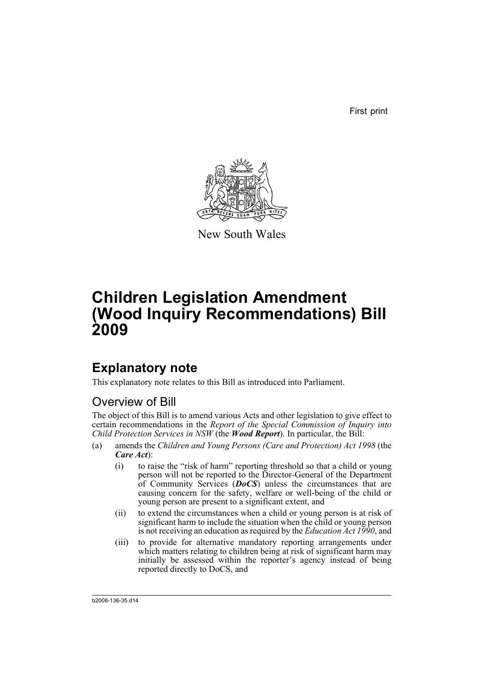First print



New South Wales

# **Children Legislation Amendment (Wood Inquiry Recommendations) Bill 2009**

# **Explanatory note**

This explanatory note relates to this Bill as introduced into Parliament.

# Overview of Bill

The object of this Bill is to amend various Acts and other legislation to give effect to certain recommendations in the *Report of the Special Commission of Inquiry into Child Protection Services in NSW* (the *Wood Report*). In particular, the Bill:

- (a) amends the *Children and Young Persons (Care and Protection) Act 1998* (the *Care Act*):
	- (i) to raise the "risk of harm" reporting threshold so that a child or young person will not be reported to the Director-General of the Department of Community Services ( $DoCS$ ) unless the circumstances that are causing concern for the safety, welfare or well-being of the child or young person are present to a significant extent, and
	- (ii) to extend the circumstances when a child or young person is at risk of significant harm to include the situation when the child or young person is not receiving an education as required by the *Education Act 1990*, and
	- (iii) to provide for alternative mandatory reporting arrangements under which matters relating to children being at risk of significant harm may initially be assessed within the reporter's agency instead of being reported directly to DoCS, and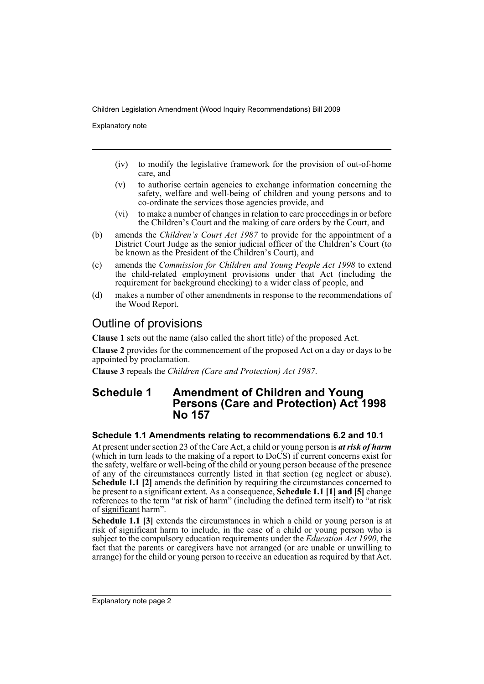Explanatory note

- (iv) to modify the legislative framework for the provision of out-of-home care, and
- (v) to authorise certain agencies to exchange information concerning the safety, welfare and well-being of children and young persons and to co-ordinate the services those agencies provide, and
- (vi) to make a number of changes in relation to care proceedings in or before the Children's Court and the making of care orders by the Court, and
- (b) amends the *Children's Court Act 1987* to provide for the appointment of a District Court Judge as the senior judicial officer of the Children's Court (to be known as the President of the Children's Court), and
- (c) amends the *Commission for Children and Young People Act 1998* to extend the child-related employment provisions under that Act (including the requirement for background checking) to a wider class of people, and
- (d) makes a number of other amendments in response to the recommendations of the Wood Report.

# Outline of provisions

**Clause 1** sets out the name (also called the short title) of the proposed Act.

**Clause 2** provides for the commencement of the proposed Act on a day or days to be appointed by proclamation.

**Clause 3** repeals the *Children (Care and Protection) Act 1987*.

# **Schedule 1 Amendment of Children and Young Persons (Care and Protection) Act 1998 No 157**

# **Schedule 1.1 Amendments relating to recommendations 6.2 and 10.1**

At present under section 23 of the Care Act, a child or young person is *at risk of harm* (which in turn leads to the making of a report to DoCS) if current concerns exist for the safety, welfare or well-being of the child or young person because of the presence of any of the circumstances currently listed in that section (eg neglect or abuse). **Schedule 1.1 [2]** amends the definition by requiring the circumstances concerned to be present to a significant extent. As a consequence, **Schedule 1.1 [1] and [5]** change references to the term "at risk of harm" (including the defined term itself) to "at risk of significant harm".

**Schedule 1.1 [3]** extends the circumstances in which a child or young person is at risk of significant harm to include, in the case of a child or young person who is subject to the compulsory education requirements under the *Education Act 1990*, the fact that the parents or caregivers have not arranged (or are unable or unwilling to arrange) for the child or young person to receive an education as required by that Act.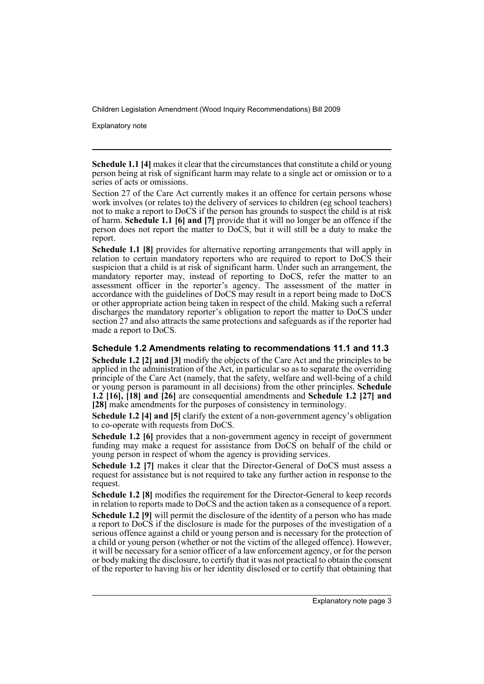Explanatory note

**Schedule 1.1 [4]** makes it clear that the circumstances that constitute a child or young person being at risk of significant harm may relate to a single act or omission or to a series of acts or omissions.

Section 27 of the Care Act currently makes it an offence for certain persons whose work involves (or relates to) the delivery of services to children (eg school teachers) not to make a report to DoCS if the person has grounds to suspect the child is at risk of harm. **Schedule 1.1 [6] and [7]** provide that it will no longer be an offence if the person does not report the matter to DoCS, but it will still be a duty to make the report.

**Schedule 1.1 [8]** provides for alternative reporting arrangements that will apply in relation to certain mandatory reporters who are required to report to DoCS their suspicion that a child is at risk of significant harm. Under such an arrangement, the mandatory reporter may, instead of reporting to DoCS, refer the matter to an assessment officer in the reporter's agency. The assessment of the matter in accordance with the guidelines of DoCS may result in a report being made to DoCS or other appropriate action being taken in respect of the child. Making such a referral discharges the mandatory reporter's obligation to report the matter to DoCS under section 27 and also attracts the same protections and safeguards as if the reporter had made a report to DoCS.

# **Schedule 1.2 Amendments relating to recommendations 11.1 and 11.3**

**Schedule 1.2 [2] and [3]** modify the objects of the Care Act and the principles to be applied in the administration of the Act, in particular so as to separate the overriding principle of the Care Act (namely, that the safety, welfare and well-being of a child or young person is paramount in all decisions) from the other principles. **Schedule 1.2 [16], [18] and [26]** are consequential amendments and **Schedule 1.2 [27] and [28]** make amendments for the purposes of consistency in terminology.

**Schedule 1.2 [4] and [5]** clarify the extent of a non-government agency's obligation to co-operate with requests from DoCS.

**Schedule 1.2 [6]** provides that a non-government agency in receipt of government funding may make a request for assistance from DoCS on behalf of the child or young person in respect of whom the agency is providing services.

**Schedule 1.2 [7]** makes it clear that the Director-General of DoCS must assess a request for assistance but is not required to take any further action in response to the request.

**Schedule 1.2 [8]** modifies the requirement for the Director-General to keep records in relation to reports made to DoCS and the action taken as a consequence of a report.

**Schedule 1.2 [9]** will permit the disclosure of the identity of a person who has made a report to DoCS if the disclosure is made for the purposes of the investigation of a serious offence against a child or young person and is necessary for the protection of a child or young person (whether or not the victim of the alleged offence). However, it will be necessary for a senior officer of a law enforcement agency, or for the person or body making the disclosure, to certify that it was not practical to obtain the consent of the reporter to having his or her identity disclosed or to certify that obtaining that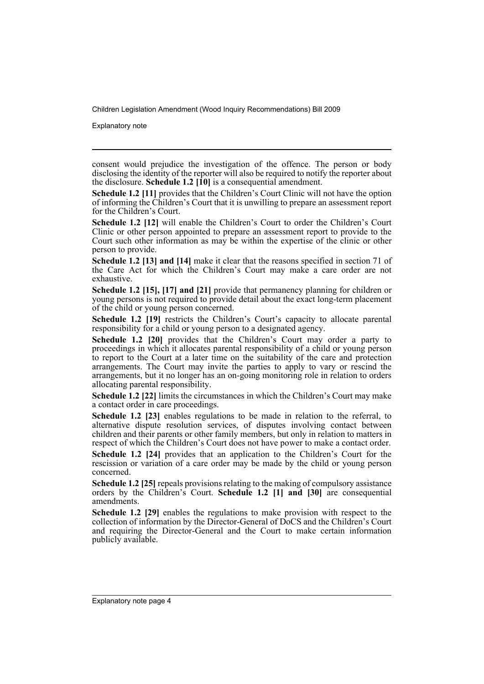Explanatory note

consent would prejudice the investigation of the offence. The person or body disclosing the identity of the reporter will also be required to notify the reporter about the disclosure. **Schedule 1.2 [10]** is a consequential amendment.

**Schedule 1.2 [11]** provides that the Children's Court Clinic will not have the option of informing the Children's Court that it is unwilling to prepare an assessment report for the Children's Court.

**Schedule 1.2 [12]** will enable the Children's Court to order the Children's Court Clinic or other person appointed to prepare an assessment report to provide to the Court such other information as may be within the expertise of the clinic or other person to provide.

**Schedule 1.2 [13] and [14]** make it clear that the reasons specified in section 71 of the Care Act for which the Children's Court may make a care order are not exhaustive.

**Schedule 1.2 [15], [17] and [21]** provide that permanency planning for children or young persons is not required to provide detail about the exact long-term placement of the child or young person concerned.

**Schedule 1.2 [19]** restricts the Children's Court's capacity to allocate parental responsibility for a child or young person to a designated agency.

**Schedule 1.2 [20]** provides that the Children's Court may order a party to proceedings in which it allocates parental responsibility of a child or young person to report to the Court at a later time on the suitability of the care and protection arrangements. The Court may invite the parties to apply to vary or rescind the arrangements, but it no longer has an on-going monitoring role in relation to orders allocating parental responsibility.

**Schedule 1.2 [22]** limits the circumstances in which the Children's Court may make a contact order in care proceedings.

**Schedule 1.2 [23]** enables regulations to be made in relation to the referral, to alternative dispute resolution services, of disputes involving contact between children and their parents or other family members, but only in relation to matters in respect of which the Children's Court does not have power to make a contact order.

**Schedule 1.2 [24]** provides that an application to the Children's Court for the rescission or variation of a care order may be made by the child or young person concerned.

**Schedule 1.2 [25]** repeals provisions relating to the making of compulsory assistance orders by the Children's Court. **Schedule 1.2 [1] and [30]** are consequential amendments.

**Schedule 1.2 [29]** enables the regulations to make provision with respect to the collection of information by the Director-General of DoCS and the Children's Court and requiring the Director-General and the Court to make certain information publicly available.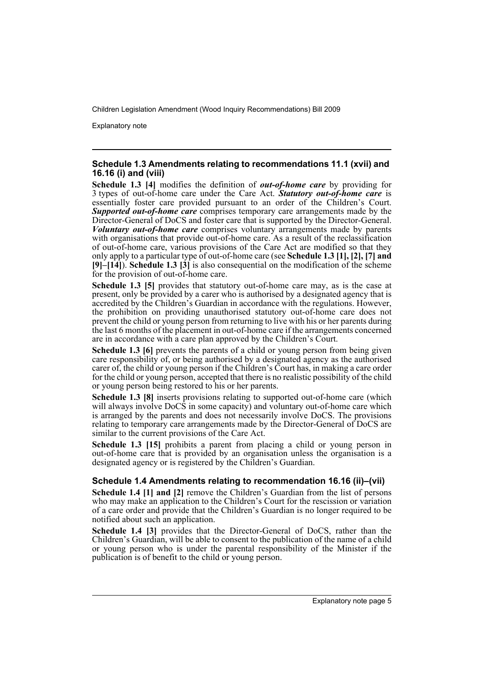Explanatory note

# **Schedule 1.3 Amendments relating to recommendations 11.1 (xvii) and 16.16 (i) and (viii)**

**Schedule 1.3 [4]** modifies the definition of *out-of-home care* by providing for 3 types of out-of-home care under the Care Act. *Statutory out-of-home care* is essentially foster care provided pursuant to an order of the Children's Court. *Supported out-of-home care* comprises temporary care arrangements made by the Director-General of DoCS and foster care that is supported by the Director-General. *Voluntary out-of-home care* comprises voluntary arrangements made by parents with organisations that provide out-of-home care. As a result of the reclassification of out-of-home care, various provisions of the Care Act are modified so that they only apply to a particular type of out-of-home care (see **Schedule 1.3 [1], [2], [7] and [9]–[14]**). **Schedule 1.3 [3]** is also consequential on the modification of the scheme for the provision of out-of-home care.

**Schedule 1.3 [5]** provides that statutory out-of-home care may, as is the case at present, only be provided by a carer who is authorised by a designated agency that is accredited by the Children's Guardian in accordance with the regulations. However, the prohibition on providing unauthorised statutory out-of-home care does not prevent the child or young person from returning to live with his or her parents during the last 6 months of the placement in out-of-home care if the arrangements concerned are in accordance with a care plan approved by the Children's Court.

**Schedule 1.3 [6]** prevents the parents of a child or young person from being given care responsibility of, or being authorised by a designated agency as the authorised carer of, the child or young person if the Children's Court has, in making a care order for the child or young person, accepted that there is no realistic possibility of the child or young person being restored to his or her parents.

**Schedule 1.3 [8]** inserts provisions relating to supported out-of-home care (which will always involve DoCS in some capacity) and voluntary out-of-home care which is arranged by the parents and does not necessarily involve DoCS. The provisions relating to temporary care arrangements made by the Director-General of DoCS are similar to the current provisions of the Care Act.

**Schedule 1.3 [15]** prohibits a parent from placing a child or young person in out-of-home care that is provided by an organisation unless the organisation is a designated agency or is registered by the Children's Guardian.

# **Schedule 1.4 Amendments relating to recommendation 16.16 (ii)–(vii)**

**Schedule 1.4 [1] and [2]** remove the Children's Guardian from the list of persons who may make an application to the Children's Court for the rescission or variation of a care order and provide that the Children's Guardian is no longer required to be notified about such an application.

**Schedule 1.4 [3]** provides that the Director-General of DoCS, rather than the Children's Guardian, will be able to consent to the publication of the name of a child or young person who is under the parental responsibility of the Minister if the publication is of benefit to the child or young person.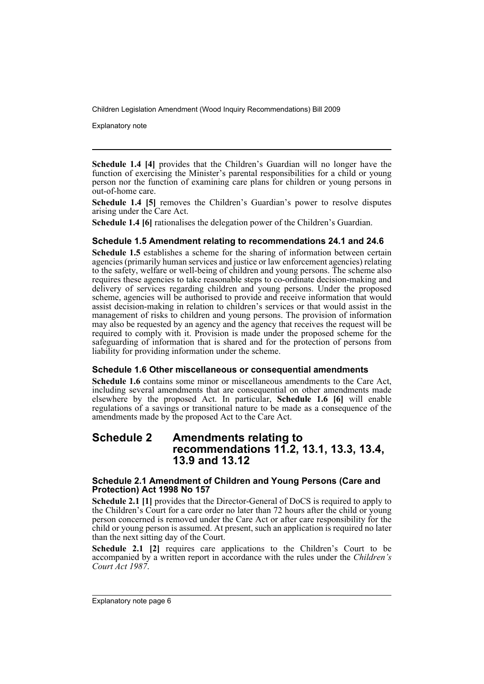Explanatory note

**Schedule 1.4 [4]** provides that the Children's Guardian will no longer have the function of exercising the Minister's parental responsibilities for a child or young person nor the function of examining care plans for children or young persons in out-of-home care.

**Schedule 1.4 [5]** removes the Children's Guardian's power to resolve disputes arising under the Care Act.

**Schedule 1.4 [6]** rationalises the delegation power of the Children's Guardian.

# **Schedule 1.5 Amendment relating to recommendations 24.1 and 24.6**

**Schedule 1.5** establishes a scheme for the sharing of information between certain agencies (primarily human services and justice or law enforcement agencies) relating to the safety, welfare or well-being of children and young persons. The scheme also requires these agencies to take reasonable steps to co-ordinate decision-making and delivery of services regarding children and young persons. Under the proposed scheme, agencies will be authorised to provide and receive information that would assist decision-making in relation to children's services or that would assist in the management of risks to children and young persons. The provision of information may also be requested by an agency and the agency that receives the request will be required to comply with it. Provision is made under the proposed scheme for the safeguarding of information that is shared and for the protection of persons from liability for providing information under the scheme.

# **Schedule 1.6 Other miscellaneous or consequential amendments**

**Schedule 1.6** contains some minor or miscellaneous amendments to the Care Act, including several amendments that are consequential on other amendments made elsewhere by the proposed Act. In particular, **Schedule 1.6 [6]** will enable regulations of a savings or transitional nature to be made as a consequence of the amendments made by the proposed Act to the Care Act.

# **Schedule 2 Amendments relating to recommendations 11.2, 13.1, 13.3, 13.4, 13.9 and 13.12**

# **Schedule 2.1 Amendment of Children and Young Persons (Care and Protection) Act 1998 No 157**

**Schedule 2.1 [1]** provides that the Director-General of DoCS is required to apply to the Children's Court for a care order no later than 72 hours after the child or young person concerned is removed under the Care Act or after care responsibility for the child or young person is assumed. At present, such an application is required no later than the next sitting day of the Court.

**Schedule 2.1 [2]** requires care applications to the Children's Court to be accompanied by a written report in accordance with the rules under the *Children's Court Act 1987*.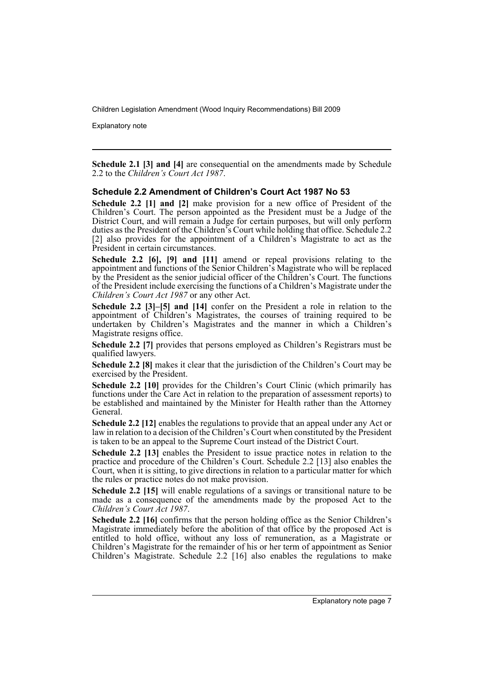Explanatory note

**Schedule 2.1 [3] and [4]** are consequential on the amendments made by Schedule 2.2 to the *Children's Court Act 1987*.

# **Schedule 2.2 Amendment of Children's Court Act 1987 No 53**

**Schedule 2.2 [1] and [2]** make provision for a new office of President of the Children's Court. The person appointed as the President must be a Judge of the District Court, and will remain a Judge for certain purposes, but will only perform duties as the President of the Children's Court while holding that office. Schedule 2.2 [2] also provides for the appointment of a Children's Magistrate to act as the President in certain circumstances.

**Schedule 2.2 [6], [9] and [11]** amend or repeal provisions relating to the appointment and functions of the Senior Children's Magistrate who will be replaced by the President as the senior judicial officer of the Children's Court. The functions of the President include exercising the functions of a Children's Magistrate under the *Children's Court Act 1987* or any other Act.

**Schedule 2.2 [3]–[5] and [14]** confer on the President a role in relation to the appointment of Children's Magistrates, the courses of training required to be undertaken by Children's Magistrates and the manner in which a Children's Magistrate resigns office.

**Schedule 2.2 [7]** provides that persons employed as Children's Registrars must be qualified lawyers.

**Schedule 2.2 [8]** makes it clear that the jurisdiction of the Children's Court may be exercised by the President.

**Schedule 2.2 [10]** provides for the Children's Court Clinic (which primarily has functions under the Care Act in relation to the preparation of assessment reports) to be established and maintained by the Minister for Health rather than the Attorney General.

**Schedule 2.2 [12]** enables the regulations to provide that an appeal under any Act or law in relation to a decision of the Children's Court when constituted by the President is taken to be an appeal to the Supreme Court instead of the District Court.

**Schedule 2.2 [13]** enables the President to issue practice notes in relation to the practice and procedure of the Children's Court. Schedule 2.2 [13] also enables the Court, when it is sitting, to give directions in relation to a particular matter for which the rules or practice notes do not make provision.

**Schedule 2.2 [15]** will enable regulations of a savings or transitional nature to be made as a consequence of the amendments made by the proposed Act to the *Children's Court Act 1987*.

**Schedule 2.2 [16]** confirms that the person holding office as the Senior Children's Magistrate immediately before the abolition of that office by the proposed Act is entitled to hold office, without any loss of remuneration, as a Magistrate or Children's Magistrate for the remainder of his or her term of appointment as Senior Children's Magistrate. Schedule 2.2 [16] also enables the regulations to make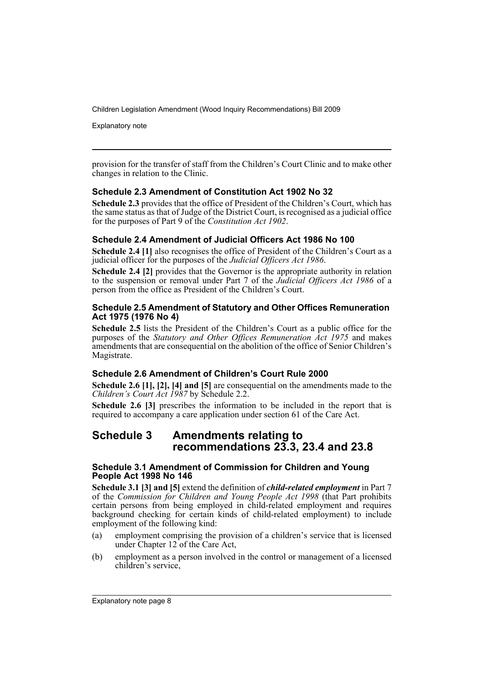Explanatory note

provision for the transfer of staff from the Children's Court Clinic and to make other changes in relation to the Clinic.

# **Schedule 2.3 Amendment of Constitution Act 1902 No 32**

**Schedule 2.3** provides that the office of President of the Children's Court, which has the same status as that of Judge of the District Court, is recognised as a judicial office for the purposes of Part 9 of the *Constitution Act 1902*.

# **Schedule 2.4 Amendment of Judicial Officers Act 1986 No 100**

**Schedule 2.4 [1]** also recognises the office of President of the Children's Court as a judicial officer for the purposes of the *Judicial Officers Act 1986*.

**Schedule 2.4 [2]** provides that the Governor is the appropriate authority in relation to the suspension or removal under Part 7 of the *Judicial Officers Act 1986* of a person from the office as President of the Children's Court.

# **Schedule 2.5 Amendment of Statutory and Other Offices Remuneration Act 1975 (1976 No 4)**

**Schedule 2.5** lists the President of the Children's Court as a public office for the purposes of the *Statutory and Other Offices Remuneration Act 1975* and makes amendments that are consequential on the abolition of the office of Senior Children's Magistrate.

# **Schedule 2.6 Amendment of Children's Court Rule 2000**

**Schedule 2.6 [1], [2], [4] and [5]** are consequential on the amendments made to the *Children's Court Act 1987* by Schedule 2.2.

**Schedule 2.6 [3]** prescribes the information to be included in the report that is required to accompany a care application under section 61 of the Care Act.

# **Schedule 3 Amendments relating to recommendations 23.3, 23.4 and 23.8**

# **Schedule 3.1 Amendment of Commission for Children and Young People Act 1998 No 146**

**Schedule 3.1 [3] and [5]** extend the definition of *child-related employment* in Part 7 of the *Commission for Children and Young People Act 1998* (that Part prohibits certain persons from being employed in child-related employment and requires background checking for certain kinds of child-related employment) to include employment of the following kind:

- (a) employment comprising the provision of a children's service that is licensed under Chapter 12 of the Care Act,
- (b) employment as a person involved in the control or management of a licensed children's service,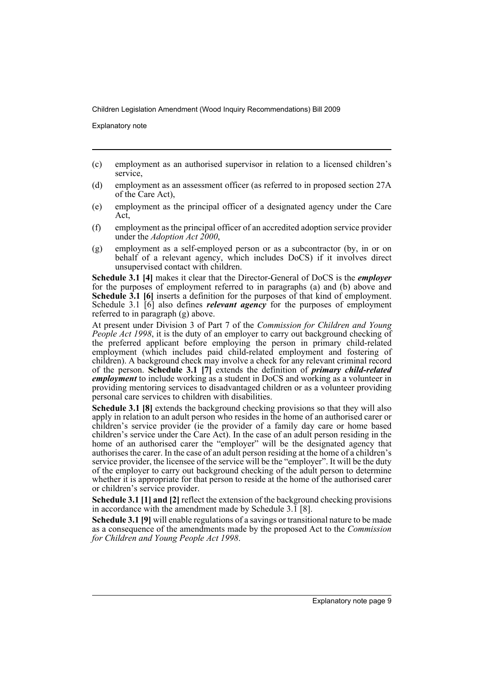Explanatory note

- (c) employment as an authorised supervisor in relation to a licensed children's service,
- (d) employment as an assessment officer (as referred to in proposed section 27A of the Care Act),
- (e) employment as the principal officer of a designated agency under the Care Act,
- (f) employment as the principal officer of an accredited adoption service provider under the *Adoption Act 2000*,
- (g) employment as a self-employed person or as a subcontractor (by, in or on behalf of a relevant agency, which includes DoCS) if it involves direct unsupervised contact with children.

**Schedule 3.1 [4]** makes it clear that the Director-General of DoCS is the *employer* for the purposes of employment referred to in paragraphs (a) and (b) above and **Schedule 3.1 [6]** inserts a definition for the purposes of that kind of employment. Schedule 3.1 [6] also defines *relevant agency* for the purposes of employment referred to in paragraph (g) above.

At present under Division 3 of Part 7 of the *Commission for Children and Young People Act 1998*, it is the duty of an employer to carry out background checking of the preferred applicant before employing the person in primary child-related employment (which includes paid child-related employment and fostering of children). A background check may involve a check for any relevant criminal record of the person. **Schedule 3.1 [7]** extends the definition of *primary child-related employment* to include working as a student in DoCS and working as a volunteer in providing mentoring services to disadvantaged children or as a volunteer providing personal care services to children with disabilities.

**Schedule 3.1 [8]** extends the background checking provisions so that they will also apply in relation to an adult person who resides in the home of an authorised carer or children's service provider (ie the provider of a family day care or home based children's service under the Care Act). In the case of an adult person residing in the home of an authorised carer the "employer" will be the designated agency that authorises the carer. In the case of an adult person residing at the home of a children's service provider, the licensee of the service will be the "employer". It will be the duty of the employer to carry out background checking of the adult person to determine whether it is appropriate for that person to reside at the home of the authorised carer or children's service provider.

**Schedule 3.1 [1] and [2]** reflect the extension of the background checking provisions in accordance with the amendment made by Schedule 3.1 [8].

**Schedule 3.1 [9]** will enable regulations of a savings or transitional nature to be made as a consequence of the amendments made by the proposed Act to the *Commission for Children and Young People Act 1998*.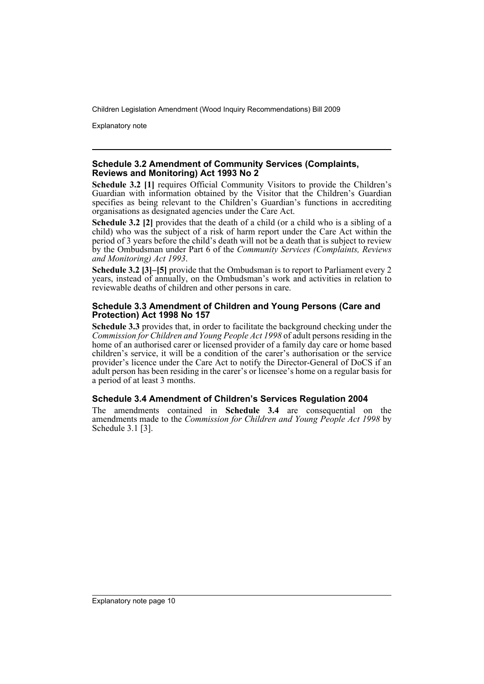Explanatory note

# **Schedule 3.2 Amendment of Community Services (Complaints, Reviews and Monitoring) Act 1993 No 2**

**Schedule 3.2 [1]** requires Official Community Visitors to provide the Children's Guardian with information obtained by the Visitor that the Children's Guardian specifies as being relevant to the Children's Guardian's functions in accrediting organisations as designated agencies under the Care Act.

**Schedule 3.2 [2]** provides that the death of a child (or a child who is a sibling of a child) who was the subject of a risk of harm report under the Care Act within the period of 3 years before the child's death will not be a death that is subject to review by the Ombudsman under Part 6 of the *Community Services (Complaints, Reviews and Monitoring) Act 1993*.

**Schedule 3.2 [3]–[5]** provide that the Ombudsman is to report to Parliament every 2 years, instead of annually, on the Ombudsman's work and activities in relation to reviewable deaths of children and other persons in care.

# **Schedule 3.3 Amendment of Children and Young Persons (Care and Protection) Act 1998 No 157**

**Schedule 3.3** provides that, in order to facilitate the background checking under the *Commission for Children and Young People Act 1998* of adult persons residing in the home of an authorised carer or licensed provider of a family day care or home based children's service, it will be a condition of the carer's authorisation or the service provider's licence under the Care Act to notify the Director-General of DoCS if an adult person has been residing in the carer's or licensee's home on a regular basis for a period of at least 3 months.

# **Schedule 3.4 Amendment of Children's Services Regulation 2004**

The amendments contained in **Schedule 3.4** are consequential on the amendments made to the *Commission for Children and Young People Act 1998* by Schedule 3.1 [3].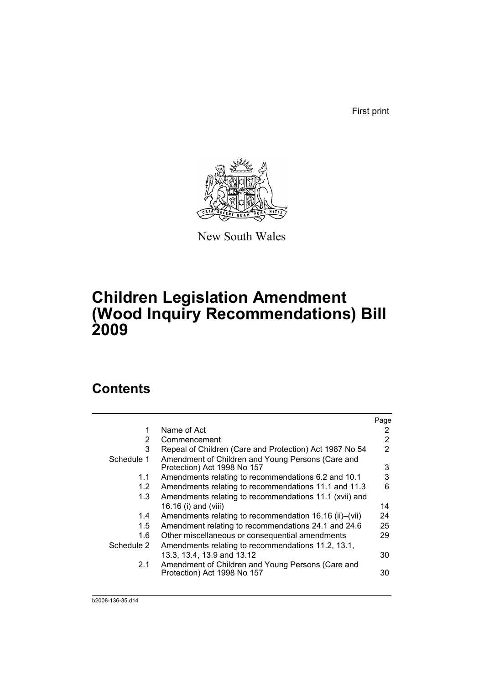First print



New South Wales

# **Children Legislation Amendment (Wood Inquiry Recommendations) Bill 2009**

# **Contents**

|               |                                                                                  | Page |
|---------------|----------------------------------------------------------------------------------|------|
| 1             | Name of Act                                                                      | 2    |
| 2             | Commencement                                                                     | 2    |
| 3             | Repeal of Children (Care and Protection) Act 1987 No 54                          | 2    |
| Schedule 1    | Amendment of Children and Young Persons (Care and<br>Protection) Act 1998 No 157 | 3    |
| 1.1           | Amendments relating to recommendations 6.2 and 10.1                              | 3    |
| $1.2^{\circ}$ | Amendments relating to recommendations 11.1 and 11.3                             | 6    |
| 1.3           | Amendments relating to recommendations 11.1 (xvii) and                           |      |
|               | 16.16 (i) and (viii)                                                             | 14   |
| 1.4           | Amendments relating to recommendation 16.16 (ii)–(vii)                           | 24   |
| 1.5           | Amendment relating to recommendations 24.1 and 24.6                              | 25   |
| 1.6           | Other miscellaneous or consequential amendments                                  | 29   |
| Schedule 2    | Amendments relating to recommendations 11.2, 13.1,                               |      |
|               | 13.3, 13.4, 13.9 and 13.12                                                       | 30   |
| 2.1           | Amendment of Children and Young Persons (Care and<br>Protection) Act 1998 No 157 | 30   |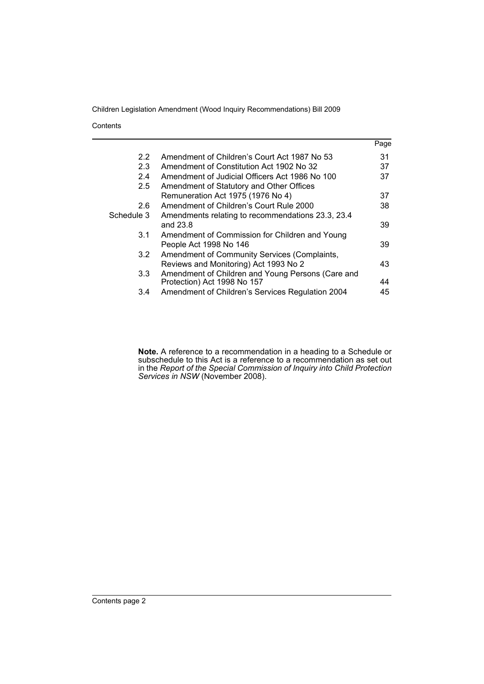**Contents** 

|                  |                                                   | Page |
|------------------|---------------------------------------------------|------|
| $2.2^{\circ}$    | Amendment of Children's Court Act 1987 No 53      | 31   |
| 2.3              | Amendment of Constitution Act 1902 No 32          | 37   |
| 2.4              | Amendment of Judicial Officers Act 1986 No 100    | 37   |
| 2.5              | Amendment of Statutory and Other Offices          |      |
|                  | Remuneration Act 1975 (1976 No 4)                 | 37   |
| 2.6              | Amendment of Children's Court Rule 2000           | 38   |
| Schedule 3       | Amendments relating to recommendations 23.3, 23.4 |      |
|                  | and 23.8                                          | 39   |
| 3.1              | Amendment of Commission for Children and Young    |      |
|                  | People Act 1998 No 146                            | 39   |
| 3.2 <sub>1</sub> | Amendment of Community Services (Complaints,      |      |
|                  | Reviews and Monitoring) Act 1993 No 2             | 43   |
| 3.3 <sub>2</sub> | Amendment of Children and Young Persons (Care and |      |
|                  | Protection) Act 1998 No 157                       | 44   |
| 3.4              | Amendment of Children's Services Regulation 2004  | 45   |

**Note.** A reference to a recommendation in a heading to a Schedule or subschedule to this Act is a reference to a recommendation as set out in the *Report of the Special Commission of Inquiry into Child Protection Services in NSW* (November 2008).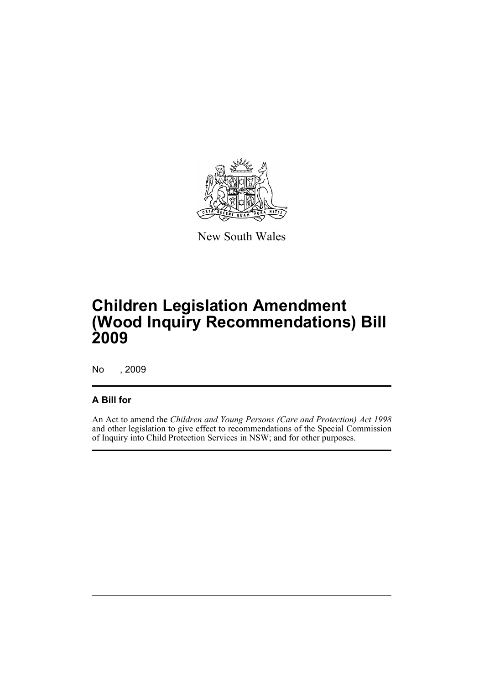

New South Wales

# **Children Legislation Amendment (Wood Inquiry Recommendations) Bill 2009**

No , 2009

# **A Bill for**

An Act to amend the *Children and Young Persons (Care and Protection) Act 1998* and other legislation to give effect to recommendations of the Special Commission of Inquiry into Child Protection Services in NSW; and for other purposes.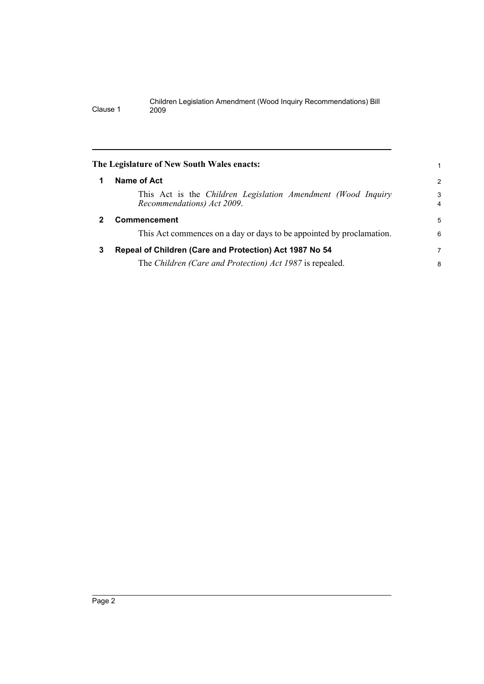<span id="page-13-1"></span><span id="page-13-0"></span>

|              | The Legislature of New South Wales enacts:                                                 |                     |
|--------------|--------------------------------------------------------------------------------------------|---------------------|
| 1            | Name of Act                                                                                | $\overline{2}$      |
|              | This Act is the Children Legislation Amendment (Wood Inquiry<br>Recommendations) Act 2009. | 3<br>$\overline{4}$ |
| $\mathbf{2}$ | <b>Commencement</b>                                                                        | 5                   |
|              | This Act commences on a day or days to be appointed by proclamation.                       | 6                   |
| 3            | Repeal of Children (Care and Protection) Act 1987 No 54                                    | 7                   |
|              | The Children (Care and Protection) Act 1987 is repealed.                                   | 8                   |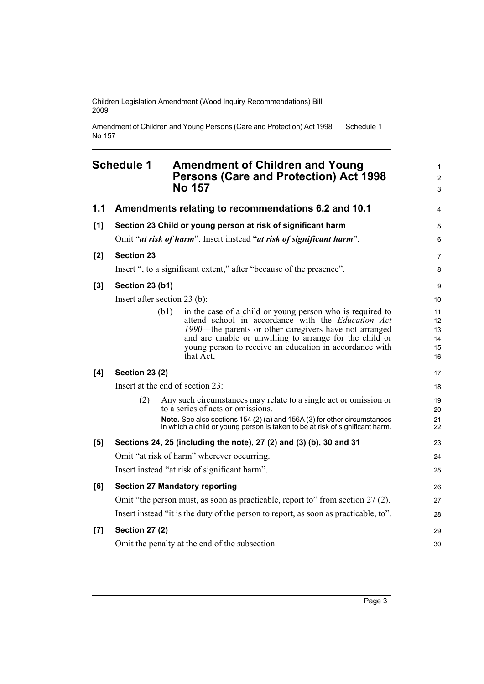Amendment of Children and Young Persons (Care and Protection) Act 1998 No 157 Schedule 1

# <span id="page-14-0"></span>**Schedule 1 Amendment of Children and Young Persons (Care and Protection) Act 1998 No 157**

|       |                              |      | NO 157                                                                                                                                                                                                                                                                                                              | 3                                |
|-------|------------------------------|------|---------------------------------------------------------------------------------------------------------------------------------------------------------------------------------------------------------------------------------------------------------------------------------------------------------------------|----------------------------------|
| 1.1   |                              |      | Amendments relating to recommendations 6.2 and 10.1                                                                                                                                                                                                                                                                 | $\overline{4}$                   |
| [1]   |                              |      | Section 23 Child or young person at risk of significant harm                                                                                                                                                                                                                                                        | 5                                |
|       |                              |      | Omit "at risk of harm". Insert instead "at risk of significant harm".                                                                                                                                                                                                                                               | 6                                |
| [2]   | <b>Section 23</b>            |      |                                                                                                                                                                                                                                                                                                                     | $\overline{7}$                   |
|       |                              |      | Insert ", to a significant extent," after "because of the presence".                                                                                                                                                                                                                                                | 8                                |
| $[3]$ | Section 23 (b1)              |      |                                                                                                                                                                                                                                                                                                                     | 9                                |
|       | Insert after section 23 (b): |      |                                                                                                                                                                                                                                                                                                                     | 10                               |
|       |                              | (b1) | in the case of a child or young person who is required to<br>attend school in accordance with the <i>Education Act</i><br>1990—the parents or other caregivers have not arranged<br>and are unable or unwilling to arrange for the child or<br>young person to receive an education in accordance with<br>that Act, | 11<br>12<br>13<br>14<br>15<br>16 |
| [4]   | <b>Section 23 (2)</b>        |      |                                                                                                                                                                                                                                                                                                                     | 17                               |
|       |                              |      | Insert at the end of section 23:                                                                                                                                                                                                                                                                                    | 18                               |
|       | (2)                          |      | Any such circumstances may relate to a single act or omission or<br>to a series of acts or omissions.<br>Note. See also sections 154 (2) (a) and 156A (3) for other circumstances                                                                                                                                   | 19<br>20<br>21                   |
|       |                              |      | in which a child or young person is taken to be at risk of significant harm.                                                                                                                                                                                                                                        | 22                               |
| [5]   |                              |      | Sections 24, 25 (including the note), 27 (2) and (3) (b), 30 and 31                                                                                                                                                                                                                                                 | 23                               |
|       |                              |      | Omit "at risk of harm" wherever occurring.                                                                                                                                                                                                                                                                          | 24                               |
|       |                              |      | Insert instead "at risk of significant harm".                                                                                                                                                                                                                                                                       | 25                               |
| [6]   |                              |      | <b>Section 27 Mandatory reporting</b>                                                                                                                                                                                                                                                                               | 26                               |
|       |                              |      | Omit "the person must, as soon as practicable, report to" from section 27 (2).                                                                                                                                                                                                                                      | 27                               |
|       |                              |      | Insert instead "it is the duty of the person to report, as soon as practicable, to".                                                                                                                                                                                                                                | 28                               |
| [7]   | <b>Section 27 (2)</b>        |      |                                                                                                                                                                                                                                                                                                                     | 29                               |
|       |                              |      | Omit the penalty at the end of the subsection.                                                                                                                                                                                                                                                                      | 30                               |

1 2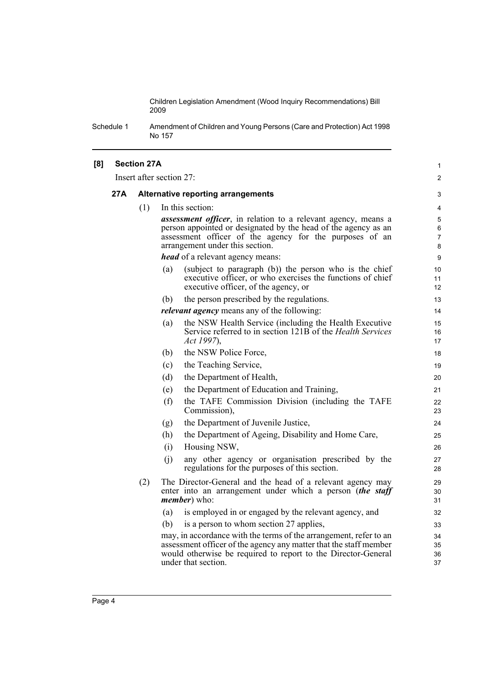Schedule 1 Amendment of Children and Young Persons (Care and Protection) Act 1998 No 157

| [8] |     | <b>Section 27A</b> |                                                                                                                                    | $\mathbf{1}$        |
|-----|-----|--------------------|------------------------------------------------------------------------------------------------------------------------------------|---------------------|
|     |     |                    | Insert after section 27:                                                                                                           | 2                   |
|     | 27A |                    | <b>Alternative reporting arrangements</b>                                                                                          | 3                   |
|     |     | (1)                | In this section:                                                                                                                   | 4                   |
|     |     |                    | assessment officer, in relation to a relevant agency, means a                                                                      | 5                   |
|     |     |                    | person appointed or designated by the head of the agency as an                                                                     | 6                   |
|     |     |                    | assessment officer of the agency for the purposes of an<br>arrangement under this section.                                         | $\overline{7}$<br>8 |
|     |     |                    | <i>head</i> of a relevant agency means:                                                                                            | 9                   |
|     |     |                    | (subject to paragraph (b)) the person who is the chief<br>(a)                                                                      | 10                  |
|     |     |                    | executive officer, or who exercises the functions of chief                                                                         | 11                  |
|     |     |                    | executive officer, of the agency, or                                                                                               | 12                  |
|     |     |                    | the person prescribed by the regulations.<br>(b)                                                                                   | 13                  |
|     |     |                    | <i>relevant agency</i> means any of the following:                                                                                 | 14                  |
|     |     |                    | the NSW Health Service (including the Health Executive<br>(a)<br>Service referred to in section 121B of the <i>Health Services</i> | 15<br>16            |
|     |     |                    | Act 1997),                                                                                                                         | 17                  |
|     |     |                    | the NSW Police Force,<br>(b)                                                                                                       | 18                  |
|     |     |                    | the Teaching Service,<br>(c)                                                                                                       | 19                  |
|     |     |                    | (d)<br>the Department of Health,                                                                                                   | 20                  |
|     |     |                    | the Department of Education and Training,<br>(e)                                                                                   | 21                  |
|     |     |                    | (f)<br>the TAFE Commission Division (including the TAFE<br>Commission),                                                            | 22<br>23            |
|     |     |                    | the Department of Juvenile Justice,<br>(g)                                                                                         | 24                  |
|     |     |                    | (h)<br>the Department of Ageing, Disability and Home Care,                                                                         | 25                  |
|     |     |                    | Housing NSW,<br>(i)                                                                                                                | 26                  |
|     |     |                    | any other agency or organisation prescribed by the<br>(i)                                                                          | 27                  |
|     |     |                    | regulations for the purposes of this section.                                                                                      | 28                  |
|     |     | (2)                | The Director-General and the head of a relevant agency may                                                                         | 29                  |
|     |     |                    | enter into an arrangement under which a person (the staff<br><i>member</i> ) who:                                                  | 30<br>31            |
|     |     |                    | is employed in or engaged by the relevant agency, and<br>(a)                                                                       | 32                  |
|     |     |                    | is a person to whom section 27 applies,<br>(b)                                                                                     | 33                  |
|     |     |                    | may, in accordance with the terms of the arrangement, refer to an                                                                  | 34                  |
|     |     |                    | assessment officer of the agency any matter that the staff member                                                                  | 35                  |
|     |     |                    | would otherwise be required to report to the Director-General                                                                      | 36                  |
|     |     |                    | under that section.                                                                                                                | 37                  |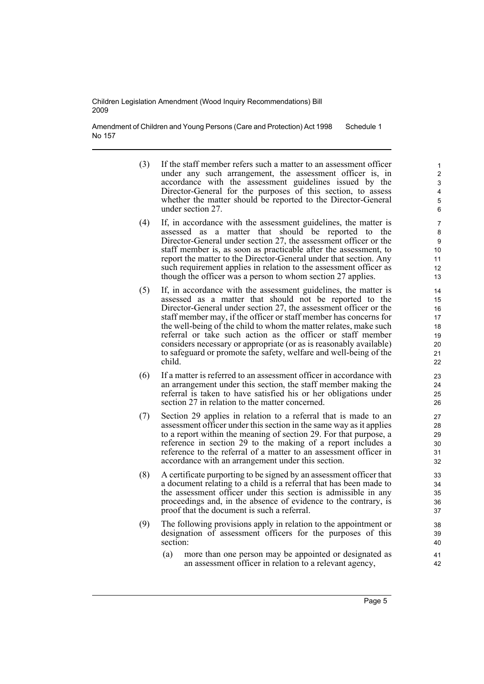Amendment of Children and Young Persons (Care and Protection) Act 1998 No 157 Schedule 1

- (3) If the staff member refers such a matter to an assessment officer under any such arrangement, the assessment officer is, in accordance with the assessment guidelines issued by the Director-General for the purposes of this section, to assess whether the matter should be reported to the Director-General under section 27.
- (4) If, in accordance with the assessment guidelines, the matter is assessed as a matter that should be reported to the Director-General under section 27, the assessment officer or the staff member is, as soon as practicable after the assessment, to report the matter to the Director-General under that section. Any such requirement applies in relation to the assessment officer as though the officer was a person to whom section 27 applies.
- (5) If, in accordance with the assessment guidelines, the matter is assessed as a matter that should not be reported to the Director-General under section 27, the assessment officer or the staff member may, if the officer or staff member has concerns for the well-being of the child to whom the matter relates, make such referral or take such action as the officer or staff member considers necessary or appropriate (or as is reasonably available) to safeguard or promote the safety, welfare and well-being of the child.
- (6) If a matter is referred to an assessment officer in accordance with an arrangement under this section, the staff member making the referral is taken to have satisfied his or her obligations under section 27 in relation to the matter concerned.
- (7) Section 29 applies in relation to a referral that is made to an assessment officer under this section in the same way as it applies to a report within the meaning of section 29. For that purpose, a reference in section 29 to the making of a report includes a reference to the referral of a matter to an assessment officer in accordance with an arrangement under this section.
- (8) A certificate purporting to be signed by an assessment officer that a document relating to a child is a referral that has been made to the assessment officer under this section is admissible in any proceedings and, in the absence of evidence to the contrary, is proof that the document is such a referral.
- (9) The following provisions apply in relation to the appointment or designation of assessment officers for the purposes of this section:
	- (a) more than one person may be appointed or designated as an assessment officer in relation to a relevant agency,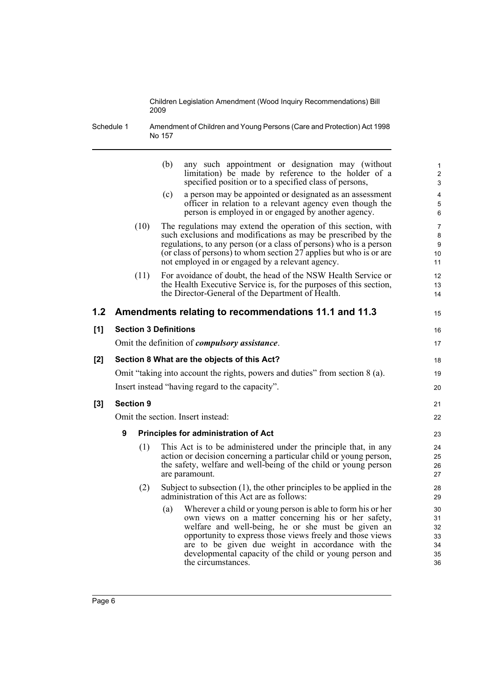Schedule 1 Amendment of Children and Young Persons (Care and Protection) Act 1998 No 157

|     |                                             |      | (b)<br>any such appointment or designation may (without<br>limitation) be made by reference to the holder of a<br>specified position or to a specified class of persons,                                                                                                                                                                                                           | $\mathbf{1}$<br>$\overline{2}$<br>3    |  |
|-----|---------------------------------------------|------|------------------------------------------------------------------------------------------------------------------------------------------------------------------------------------------------------------------------------------------------------------------------------------------------------------------------------------------------------------------------------------|----------------------------------------|--|
|     |                                             |      | a person may be appointed or designated as an assessment<br>(c)<br>officer in relation to a relevant agency even though the<br>person is employed in or engaged by another agency.                                                                                                                                                                                                 | $\overline{4}$<br>$\mathbf 5$<br>6     |  |
|     |                                             | (10) | The regulations may extend the operation of this section, with<br>such exclusions and modifications as may be prescribed by the<br>regulations, to any person (or a class of persons) who is a person<br>(or class of persons) to whom section 27 applies but who is or are<br>not employed in or engaged by a relevant agency.                                                    | $\overline{7}$<br>8<br>9<br>10<br>11   |  |
|     |                                             | (11) | For avoidance of doubt, the head of the NSW Health Service or<br>the Health Executive Service is, for the purposes of this section,<br>the Director-General of the Department of Health.                                                                                                                                                                                           | 12<br>13<br>14                         |  |
| 1.2 |                                             |      | Amendments relating to recommendations 11.1 and 11.3                                                                                                                                                                                                                                                                                                                               | 15                                     |  |
| [1] |                                             |      | <b>Section 3 Definitions</b>                                                                                                                                                                                                                                                                                                                                                       | 16                                     |  |
|     |                                             |      | Omit the definition of <i>compulsory</i> assistance.                                                                                                                                                                                                                                                                                                                               | 17                                     |  |
| [2] | Section 8 What are the objects of this Act? |      |                                                                                                                                                                                                                                                                                                                                                                                    |                                        |  |
|     |                                             |      | Omit "taking into account the rights, powers and duties" from section 8 (a).                                                                                                                                                                                                                                                                                                       | 19                                     |  |
|     |                                             |      | Insert instead "having regard to the capacity".                                                                                                                                                                                                                                                                                                                                    | 20                                     |  |
| [3] | <b>Section 9</b>                            |      |                                                                                                                                                                                                                                                                                                                                                                                    | 21                                     |  |
|     |                                             |      | Omit the section. Insert instead:                                                                                                                                                                                                                                                                                                                                                  | 22                                     |  |
|     | 9                                           |      | <b>Principles for administration of Act</b>                                                                                                                                                                                                                                                                                                                                        | 23                                     |  |
|     |                                             | (1)  | This Act is to be administered under the principle that, in any<br>action or decision concerning a particular child or young person,<br>the safety, welfare and well-being of the child or young person<br>are paramount.                                                                                                                                                          | 24<br>25<br>26<br>27                   |  |
|     |                                             | (2)  | Subject to subsection $(1)$ , the other principles to be applied in the<br>administration of this Act are as follows:                                                                                                                                                                                                                                                              | 28<br>29                               |  |
|     |                                             |      | Wherever a child or young person is able to form his or her<br>(a)<br>own views on a matter concerning his or her safety,<br>welfare and well-being, he or she must be given an<br>opportunity to express those views freely and those views<br>are to be given due weight in accordance with the<br>developmental capacity of the child or young person and<br>the circumstances. | 30<br>31<br>32<br>33<br>34<br>35<br>36 |  |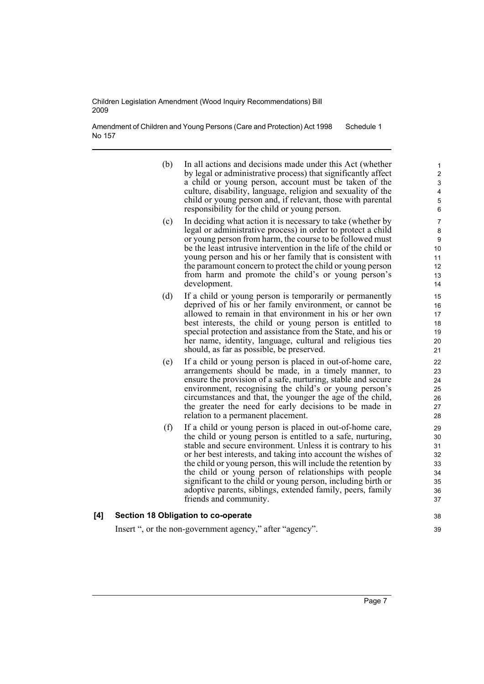Amendment of Children and Young Persons (Care and Protection) Act 1998 No 157 Schedule 1

- (b) In all actions and decisions made under this Act (whether by legal or administrative process) that significantly affect a child or young person, account must be taken of the culture, disability, language, religion and sexuality of the child or young person and, if relevant, those with parental responsibility for the child or young person.
- (c) In deciding what action it is necessary to take (whether by legal or administrative process) in order to protect a child or young person from harm, the course to be followed must be the least intrusive intervention in the life of the child or young person and his or her family that is consistent with the paramount concern to protect the child or young person from harm and promote the child's or young person's development.
- (d) If a child or young person is temporarily or permanently deprived of his or her family environment, or cannot be allowed to remain in that environment in his or her own best interests, the child or young person is entitled to special protection and assistance from the State, and his or her name, identity, language, cultural and religious ties should, as far as possible, be preserved.
- (e) If a child or young person is placed in out-of-home care, arrangements should be made, in a timely manner, to ensure the provision of a safe, nurturing, stable and secure environment, recognising the child's or young person's circumstances and that, the younger the age of the child, the greater the need for early decisions to be made in relation to a permanent placement.
- (f) If a child or young person is placed in out-of-home care, the child or young person is entitled to a safe, nurturing, stable and secure environment. Unless it is contrary to his or her best interests, and taking into account the wishes of the child or young person, this will include the retention by the child or young person of relationships with people significant to the child or young person, including birth or adoptive parents, siblings, extended family, peers, family friends and community.

# **[4] Section 18 Obligation to co-operate**

Insert ", or the non-government agency," after "agency".

38 39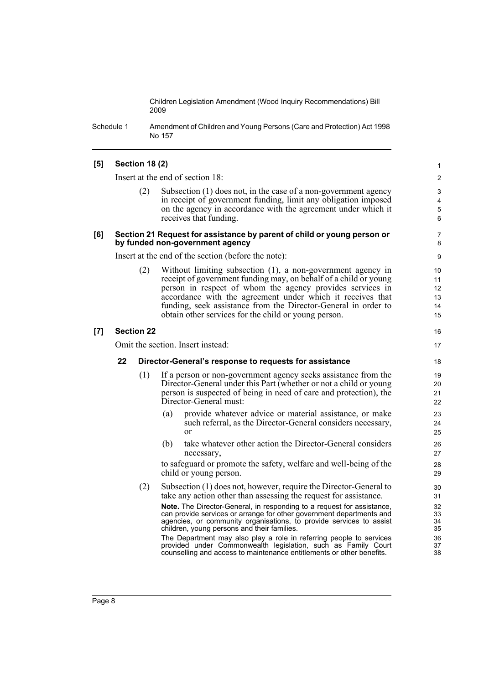Schedule 1 Amendment of Children and Young Persons (Care and Protection) Act 1998 No 157

### **[5] Section 18 (2)**

Insert at the end of section 18:

Subsection  $(1)$  does not, in the case of a non-government agency in receipt of government funding, limit any obligation imposed on the agency in accordance with the agreement under which it receives that funding.

16 17

#### **[6] Section 21 Request for assistance by parent of child or young person or by funded non-government agency**

Insert at the end of the section (before the note):

(2) Without limiting subsection (1), a non-government agency in receipt of government funding may, on behalf of a child or young person in respect of whom the agency provides services in accordance with the agreement under which it receives that funding, seek assistance from the Director-General in order to obtain other services for the child or young person.

#### **[7] Section 22**

Omit the section. Insert instead:

#### **22 Director-General's response to requests for assistance**

- (1) If a person or non-government agency seeks assistance from the Director-General under this Part (whether or not a child or young person is suspected of being in need of care and protection), the Director-General must:
	- (a) provide whatever advice or material assistance, or make such referral, as the Director-General considers necessary, or
	- (b) take whatever other action the Director-General considers necessary,

to safeguard or promote the safety, welfare and well-being of the child or young person.

(2) Subsection (1) does not, however, require the Director-General to take any action other than assessing the request for assistance.

**Note.** The Director-General, in responding to a request for assistance, can provide services or arrange for other government departments and agencies, or community organisations, to provide services to assist children, young persons and their families.

The Department may also play a role in referring people to services provided under Commonwealth legislation, such as Family Court counselling and access to maintenance entitlements or other benefits.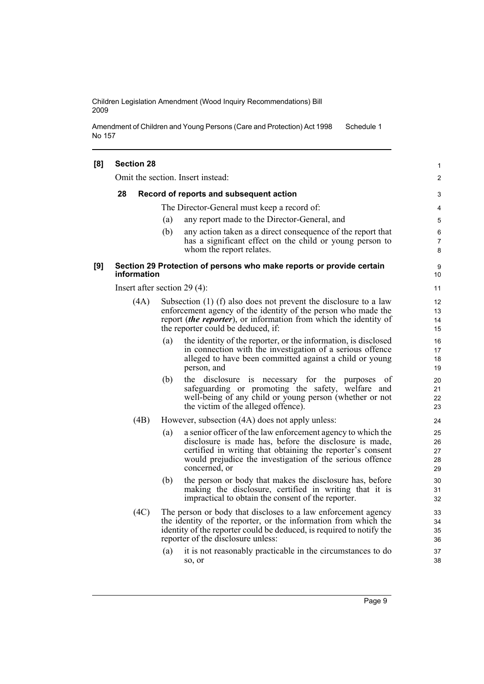Amendment of Children and Young Persons (Care and Protection) Act 1998 No 157 Schedule 1

| [8] | <b>Section 28</b> |      |     |                                                                                                                                                                                                                                                                  | 1                          |
|-----|-------------------|------|-----|------------------------------------------------------------------------------------------------------------------------------------------------------------------------------------------------------------------------------------------------------------------|----------------------------|
|     |                   |      |     | Omit the section. Insert instead:                                                                                                                                                                                                                                | $\overline{2}$             |
|     | 28                |      |     | Record of reports and subsequent action                                                                                                                                                                                                                          | 3                          |
|     |                   |      |     | The Director-General must keep a record of:                                                                                                                                                                                                                      | 4                          |
|     |                   |      | (a) | any report made to the Director-General, and                                                                                                                                                                                                                     | 5                          |
|     |                   |      | (b) | any action taken as a direct consequence of the report that<br>has a significant effect on the child or young person to<br>whom the report relates.                                                                                                              | 6<br>7<br>8                |
| [9] | information       |      |     | Section 29 Protection of persons who make reports or provide certain                                                                                                                                                                                             | 9<br>10                    |
|     |                   |      |     | Insert after section 29 $(4)$ :                                                                                                                                                                                                                                  | 11                         |
|     |                   | (4A) |     | Subsection (1) (f) also does not prevent the disclosure to a law<br>enforcement agency of the identity of the person who made the<br>report <i>(the reporter)</i> , or information from which the identity of<br>the reporter could be deduced, if:              | 12<br>13<br>14<br>15       |
|     |                   |      | (a) | the identity of the reporter, or the information, is disclosed<br>in connection with the investigation of a serious offence<br>alleged to have been committed against a child or young<br>person, and                                                            | 16<br>17<br>18<br>19       |
|     |                   |      | (b) | the disclosure is necessary for the<br>purposes<br>0t<br>safeguarding or promoting the safety, welfare and<br>well-being of any child or young person (whether or not<br>the victim of the alleged offence).                                                     | 20<br>21<br>22<br>23       |
|     |                   | (4B) |     | However, subsection (4A) does not apply unless:                                                                                                                                                                                                                  | 24                         |
|     |                   |      | (a) | a senior officer of the law enforcement agency to which the<br>disclosure is made has, before the disclosure is made,<br>certified in writing that obtaining the reporter's consent<br>would prejudice the investigation of the serious offence<br>concerned, or | 25<br>26<br>27<br>28<br>29 |
|     |                   |      | (b) | the person or body that makes the disclosure has, before<br>making the disclosure, certified in writing that it is<br>impractical to obtain the consent of the reporter.                                                                                         | 30<br>31<br>32             |
|     |                   | (4C) |     | The person or body that discloses to a law enforcement agency<br>the identity of the reporter, or the information from which the<br>identity of the reporter could be deduced, is required to notify the<br>reporter of the disclosure unless:                   | 33<br>34<br>35<br>36       |
|     |                   |      | (a) | it is not reasonably practicable in the circumstances to do<br>so, or                                                                                                                                                                                            | 37<br>38                   |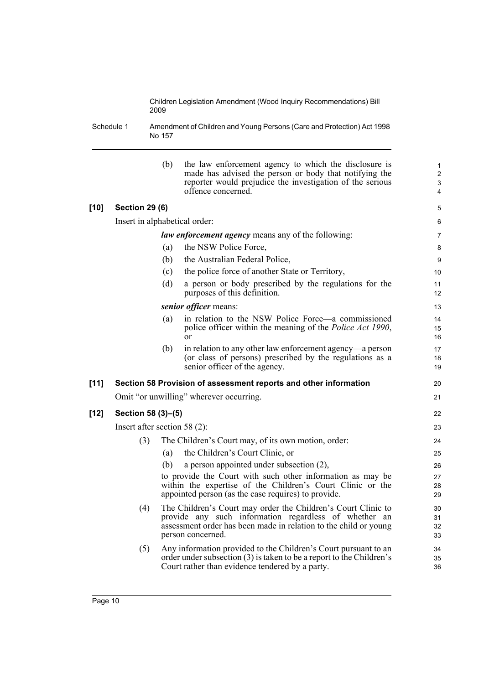Schedule 1 Amendment of Children and Young Persons (Care and Protection) Act 1998 No 157

|        |                                 | (b) | the law enforcement agency to which the disclosure is<br>made has advised the person or body that notifying the<br>reporter would prejudice the investigation of the serious<br>offence concerned.              | 1<br>$\overline{c}$<br>3<br>4 |
|--------|---------------------------------|-----|-----------------------------------------------------------------------------------------------------------------------------------------------------------------------------------------------------------------|-------------------------------|
| $[10]$ | <b>Section 29 (6)</b>           |     |                                                                                                                                                                                                                 | 5                             |
|        | Insert in alphabetical order:   |     |                                                                                                                                                                                                                 | 6                             |
|        |                                 |     | <i>law enforcement agency</i> means any of the following:                                                                                                                                                       | $\overline{7}$                |
|        |                                 | (a) | the NSW Police Force,                                                                                                                                                                                           | 8                             |
|        |                                 | (b) | the Australian Federal Police,                                                                                                                                                                                  | 9                             |
|        |                                 | (c) | the police force of another State or Territory,                                                                                                                                                                 | 10 <sup>°</sup>               |
|        |                                 | (d) | a person or body prescribed by the regulations for the<br>purposes of this definition.                                                                                                                          | 11<br>12                      |
|        |                                 |     | senior officer means:                                                                                                                                                                                           | 13                            |
|        |                                 | (a) | in relation to the NSW Police Force—a commissioned<br>police officer within the meaning of the <i>Police Act 1990</i> ,<br>or                                                                                   | 14<br>15<br>16                |
|        |                                 | (b) | in relation to any other law enforcement agency—a person<br>(or class of persons) prescribed by the regulations as a<br>senior officer of the agency.                                                           | 17<br>18<br>19                |
| $[11]$ |                                 |     | Section 58 Provision of assessment reports and other information                                                                                                                                                | 20                            |
|        |                                 |     | Omit "or unwilling" wherever occurring.                                                                                                                                                                         | 21                            |
| $[12]$ | Section 58 (3)-(5)              |     |                                                                                                                                                                                                                 | 22                            |
|        | Insert after section 58 $(2)$ : |     |                                                                                                                                                                                                                 | 23                            |
|        | (3)                             |     | The Children's Court may, of its own motion, order:                                                                                                                                                             | 24                            |
|        |                                 | (a) | the Children's Court Clinic, or                                                                                                                                                                                 | 25                            |
|        |                                 | (b) | a person appointed under subsection (2),                                                                                                                                                                        | 26                            |
|        |                                 |     | to provide the Court with such other information as may be<br>within the expertise of the Children's Court Clinic or the<br>appointed person (as the case requires) to provide.                                 | 27<br>28<br>29                |
|        | (4)                             |     | The Children's Court may order the Children's Court Clinic to<br>provide any such information regardless of whether an<br>assessment order has been made in relation to the child or young<br>person concerned. | 30<br>31<br>32<br>33          |
|        | (5)                             |     | Any information provided to the Children's Court pursuant to an<br>order under subsection (3) is taken to be a report to the Children's<br>Court rather than evidence tendered by a party.                      | 34<br>35<br>36                |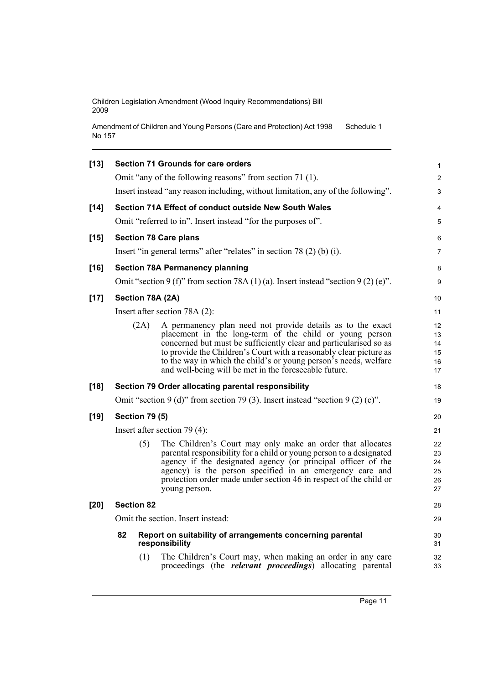Amendment of Children and Young Persons (Care and Protection) Act 1998 No 157 Schedule 1

| $[13]$ |    |                       | <b>Section 71 Grounds for care orders</b>                                                                                                                                                                                                                                                                                                                                                     | 1                                |
|--------|----|-----------------------|-----------------------------------------------------------------------------------------------------------------------------------------------------------------------------------------------------------------------------------------------------------------------------------------------------------------------------------------------------------------------------------------------|----------------------------------|
|        |    |                       | Omit "any of the following reasons" from section 71 (1).                                                                                                                                                                                                                                                                                                                                      | $\overline{2}$                   |
|        |    |                       | Insert instead "any reason including, without limitation, any of the following".                                                                                                                                                                                                                                                                                                              | 3                                |
| $[14]$ |    |                       | Section 71A Effect of conduct outside New South Wales                                                                                                                                                                                                                                                                                                                                         | 4                                |
|        |    |                       | Omit "referred to in". Insert instead "for the purposes of".                                                                                                                                                                                                                                                                                                                                  | 5                                |
| $[15]$ |    |                       | <b>Section 78 Care plans</b>                                                                                                                                                                                                                                                                                                                                                                  | 6                                |
|        |    |                       | Insert "in general terms" after "relates" in section 78 (2) (b) (i).                                                                                                                                                                                                                                                                                                                          | 7                                |
| $[16]$ |    |                       | <b>Section 78A Permanency planning</b>                                                                                                                                                                                                                                                                                                                                                        | 8                                |
|        |    |                       | Omit "section 9 (f)" from section 78A (1)(a). Insert instead "section 9 (2)(e)".                                                                                                                                                                                                                                                                                                              | 9                                |
| $[17]$ |    |                       | Section 78A (2A)                                                                                                                                                                                                                                                                                                                                                                              | 10                               |
|        |    |                       | Insert after section $78A(2)$ :                                                                                                                                                                                                                                                                                                                                                               | 11                               |
|        |    | (2A)                  | A permanency plan need not provide details as to the exact<br>placement in the long-term of the child or young person<br>concerned but must be sufficiently clear and particularised so as<br>to provide the Children's Court with a reasonably clear picture as<br>to the way in which the child's or young person's needs, welfare<br>and well-being will be met in the foreseeable future. | 12<br>13<br>14<br>15<br>16<br>17 |
| $[18]$ |    |                       | Section 79 Order allocating parental responsibility                                                                                                                                                                                                                                                                                                                                           | 18                               |
|        |    |                       | Omit "section 9 (d)" from section 79 (3). Insert instead "section 9 (2) (c)".                                                                                                                                                                                                                                                                                                                 | 19                               |
| $[19]$ |    | <b>Section 79 (5)</b> |                                                                                                                                                                                                                                                                                                                                                                                               | 20                               |
|        |    |                       | Insert after section $79(4)$ :                                                                                                                                                                                                                                                                                                                                                                | 21                               |
|        |    | (5)                   | The Children's Court may only make an order that allocates<br>parental responsibility for a child or young person to a designated<br>agency if the designated agency (or principal officer of the<br>agency) is the person specified in an emergency care and<br>protection order made under section 46 in respect of the child or<br>young person.                                           | 22<br>23<br>24<br>25<br>26<br>27 |
| $[20]$ |    | <b>Section 82</b>     |                                                                                                                                                                                                                                                                                                                                                                                               | 28                               |
|        |    |                       | Omit the section. Insert instead:                                                                                                                                                                                                                                                                                                                                                             | 29                               |
|        | 82 |                       | Report on suitability of arrangements concerning parental<br>responsibility                                                                                                                                                                                                                                                                                                                   | 30<br>31                         |
|        |    | (1)                   | The Children's Court may, when making an order in any care<br>proceedings (the <i>relevant proceedings</i> ) allocating parental                                                                                                                                                                                                                                                              | 32<br>33                         |
|        |    |                       |                                                                                                                                                                                                                                                                                                                                                                                               |                                  |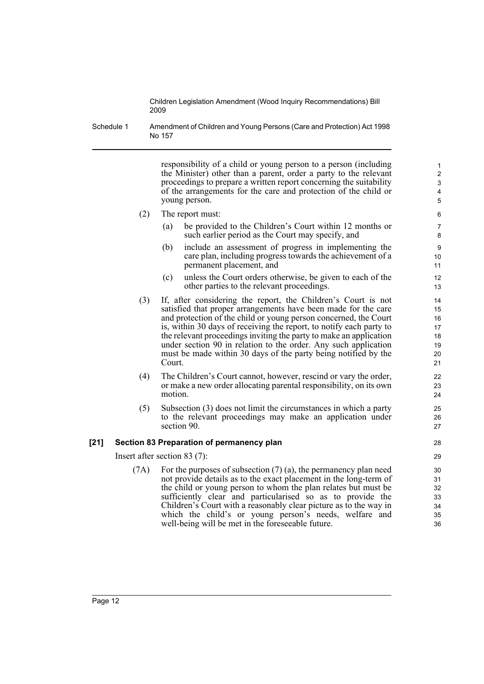Schedule 1 Amendment of Children and Young Persons (Care and Protection) Act 1998 No 157

> responsibility of a child or young person to a person (including the Minister) other than a parent, order a party to the relevant proceedings to prepare a written report concerning the suitability of the arrangements for the care and protection of the child or young person.

- (2) The report must:
	- (a) be provided to the Children's Court within 12 months or such earlier period as the Court may specify, and
	- (b) include an assessment of progress in implementing the care plan, including progress towards the achievement of a permanent placement, and
	- (c) unless the Court orders otherwise, be given to each of the other parties to the relevant proceedings.
- (3) If, after considering the report, the Children's Court is not satisfied that proper arrangements have been made for the care and protection of the child or young person concerned, the Court is, within 30 days of receiving the report, to notify each party to the relevant proceedings inviting the party to make an application under section 90 in relation to the order. Any such application must be made within 30 days of the party being notified by the Court.
- (4) The Children's Court cannot, however, rescind or vary the order, or make a new order allocating parental responsibility, on its own motion.
- (5) Subsection (3) does not limit the circumstances in which a party to the relevant proceedings may make an application under section 90.

#### **[21] Section 83 Preparation of permanency plan**

Insert after section 83 (7):

(7A) For the purposes of subsection (7) (a), the permanency plan need not provide details as to the exact placement in the long-term of the child or young person to whom the plan relates but must be sufficiently clear and particularised so as to provide the Children's Court with a reasonably clear picture as to the way in which the child's or young person's needs, welfare and well-being will be met in the foreseeable future.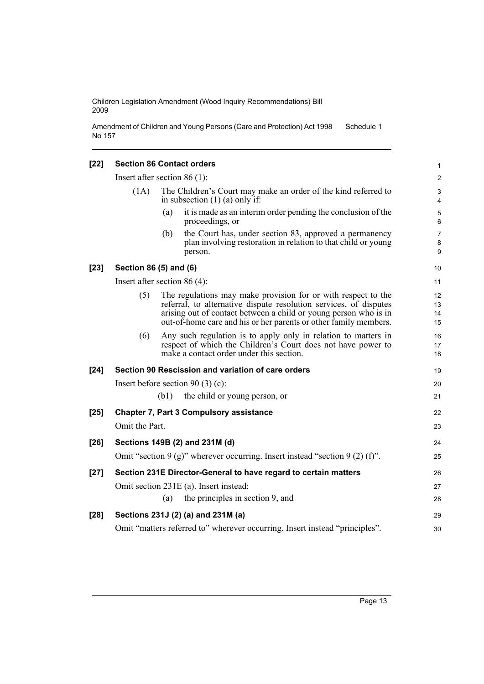Amendment of Children and Young Persons (Care and Protection) Act 1998 No 157 Schedule 1

### **[22] Section 86 Contact orders**

|        | Insert after section $86(1)$ :  |      |                                                                                                                                                                                                                                                                            | $\overline{\mathbf{c}}$ |
|--------|---------------------------------|------|----------------------------------------------------------------------------------------------------------------------------------------------------------------------------------------------------------------------------------------------------------------------------|-------------------------|
|        | (1A)                            |      | The Children's Court may make an order of the kind referred to<br>in subsection $(1)$ (a) only if:                                                                                                                                                                         | 3<br>4                  |
|        |                                 | (a)  | it is made as an interim order pending the conclusion of the<br>proceedings, or                                                                                                                                                                                            | 5<br>6                  |
|        |                                 | (b)  | the Court has, under section 83, approved a permanency<br>plan involving restoration in relation to that child or young<br>person.                                                                                                                                         | 7<br>8<br>9             |
| $[23]$ | Section 86 (5) and (6)          |      |                                                                                                                                                                                                                                                                            | 10                      |
|        | Insert after section 86 $(4)$ : |      |                                                                                                                                                                                                                                                                            | 11                      |
|        | (5)                             |      | The regulations may make provision for or with respect to the<br>referral, to alternative dispute resolution services, of disputes<br>arising out of contact between a child or young person who is in<br>out-of-home care and his or her parents or other family members. | 12<br>13<br>14<br>15    |
|        | (6)                             |      | Any such regulation is to apply only in relation to matters in<br>respect of which the Children's Court does not have power to<br>make a contact order under this section.                                                                                                 | 16<br>17<br>18          |
| [24]   |                                 |      | Section 90 Rescission and variation of care orders                                                                                                                                                                                                                         | 19                      |
|        |                                 |      | Insert before section 90 $(3)$ $(c)$ :                                                                                                                                                                                                                                     | 20                      |
|        |                                 | (b1) | the child or young person, or                                                                                                                                                                                                                                              | 21                      |
| $[25]$ |                                 |      | <b>Chapter 7, Part 3 Compulsory assistance</b>                                                                                                                                                                                                                             | 22                      |
|        | Omit the Part.                  |      |                                                                                                                                                                                                                                                                            | 23                      |
| [26]   |                                 |      | Sections 149B (2) and 231M (d)                                                                                                                                                                                                                                             | 24                      |
|        |                                 |      | Omit "section $9(g)$ " wherever occurring. Insert instead "section $9(2)(f)$ ".                                                                                                                                                                                            | 25                      |
| $[27]$ |                                 |      | Section 231E Director-General to have regard to certain matters                                                                                                                                                                                                            | 26                      |
|        |                                 |      | Omit section 231E (a). Insert instead:                                                                                                                                                                                                                                     | 27                      |
|        |                                 | (a)  | the principles in section 9, and                                                                                                                                                                                                                                           | 28                      |
| [28]   |                                 |      | Sections 231J (2) (a) and 231M (a)                                                                                                                                                                                                                                         | 29                      |
|        |                                 |      | Omit "matters referred to" wherever occurring. Insert instead "principles".                                                                                                                                                                                                | 30                      |

1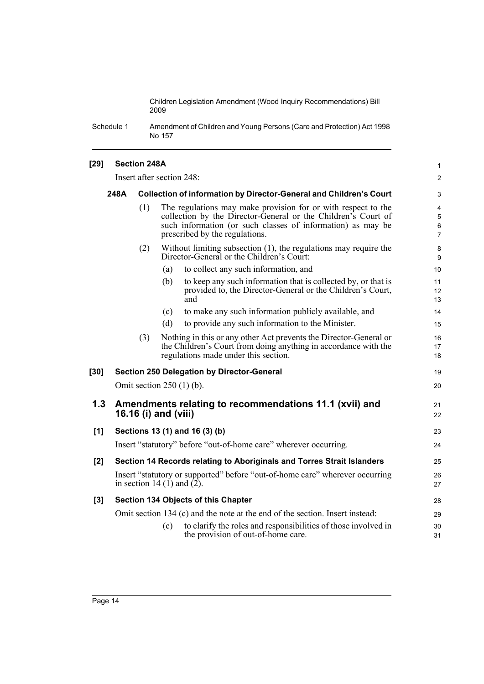Schedule 1 Amendment of Children and Young Persons (Care and Protection) Act 1998 No 157

#### **[29] Section 248A** Insert after section 248: **248A Collection of information by Director-General and Children's Court** (1) The regulations may make provision for or with respect to the collection by the Director-General or the Children's Court of such information (or such classes of information) as may be prescribed by the regulations. (2) Without limiting subsection (1), the regulations may require the Director-General or the Children's Court: (a) to collect any such information, and (b) to keep any such information that is collected by, or that is provided to, the Director-General or the Children's Court, and (c) to make any such information publicly available, and (d) to provide any such information to the Minister. (3) Nothing in this or any other Act prevents the Director-General or the Children's Court from doing anything in accordance with the regulations made under this section. **[30] Section 250 Delegation by Director-General** Omit section 250 (1) (b). **1.3 Amendments relating to recommendations 11.1 (xvii) and 16.16 (i) and (viii) [1] Sections 13 (1) and 16 (3) (b)** Insert "statutory" before "out-of-home care" wherever occurring. **[2] Section 14 Records relating to Aboriginals and Torres Strait Islanders** Insert "statutory or supported" before "out-of-home care" wherever occurring in section 14 (1) and  $(2)$ . **[3] Section 134 Objects of this Chapter** Omit section 134 (c) and the note at the end of the section. Insert instead: (c) to clarify the roles and responsibilities of those involved in the provision of out-of-home care. 1 2 3 4 5 6 7 8 9 10 11 12 13 14 15 16 17 18 19  $20$ 21 22 23 24 25 26 27 28  $29$ 30 31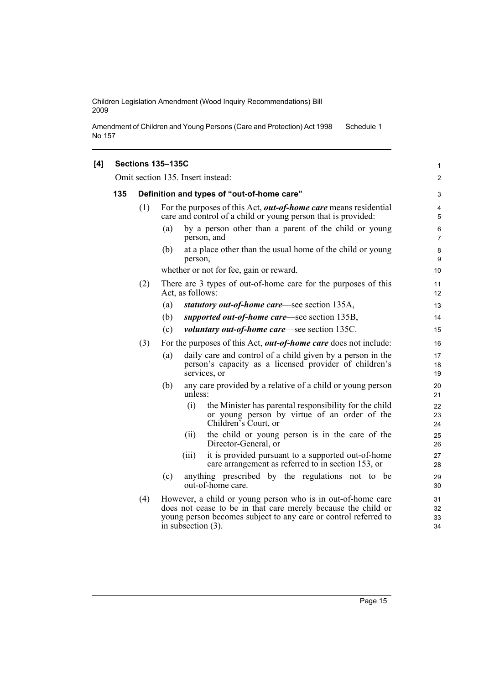Amendment of Children and Young Persons (Care and Protection) Act 1998 No 157 Schedule 1

# **[4] Sections 135–135C**

Omit section 135. Insert instead:

| 135 |     | Definition and types of "out-of-home care"                                                                                                                                                                               |                      |  |  |  |  |
|-----|-----|--------------------------------------------------------------------------------------------------------------------------------------------------------------------------------------------------------------------------|----------------------|--|--|--|--|
|     | (1) | For the purposes of this Act, <i>out-of-home care</i> means residential<br>care and control of a child or young person that is provided:                                                                                 | 4<br>5               |  |  |  |  |
|     |     | by a person other than a parent of the child or young<br>(a)<br>person, and                                                                                                                                              | 6<br>$\overline{7}$  |  |  |  |  |
|     |     | at a place other than the usual home of the child or young<br>(b)<br>person,                                                                                                                                             | 8<br>9               |  |  |  |  |
|     |     | whether or not for fee, gain or reward.                                                                                                                                                                                  | 10                   |  |  |  |  |
|     | (2) | There are 3 types of out-of-home care for the purposes of this<br>Act, as follows:                                                                                                                                       | 11<br>12             |  |  |  |  |
|     |     | statutory out-of-home care—see section 135A,<br>(a)                                                                                                                                                                      | 13                   |  |  |  |  |
|     |     | supported out-of-home care—see section 135B,<br>(b)                                                                                                                                                                      | 14                   |  |  |  |  |
|     |     | <i>voluntary out-of-home care</i> —see section 135C.<br>(c)                                                                                                                                                              | 15                   |  |  |  |  |
|     | (3) | For the purposes of this Act, <i>out-of-home care</i> does not include:                                                                                                                                                  | 16                   |  |  |  |  |
|     |     | daily care and control of a child given by a person in the<br>(a)<br>person's capacity as a licensed provider of children's<br>services, or                                                                              | 17<br>18<br>19       |  |  |  |  |
|     |     | any care provided by a relative of a child or young person<br>(b)<br>unless:                                                                                                                                             | 20<br>21             |  |  |  |  |
|     |     | (i)<br>the Minister has parental responsibility for the child<br>or young person by virtue of an order of the<br>Children's Court, or                                                                                    | 22<br>23<br>24       |  |  |  |  |
|     |     | the child or young person is in the care of the<br>(ii)<br>Director-General, or                                                                                                                                          | 25<br>26             |  |  |  |  |
|     |     | it is provided pursuant to a supported out-of-home<br>(iii)<br>care arrangement as referred to in section 153, or                                                                                                        | 27<br>28             |  |  |  |  |
|     |     | anything prescribed by the regulations not to be<br>(c)<br>out-of-home care.                                                                                                                                             | 29<br>30             |  |  |  |  |
|     | (4) | However, a child or young person who is in out-of-home care<br>does not cease to be in that care merely because the child or<br>young person becomes subject to any care or control referred to<br>in subsection $(3)$ . | 31<br>32<br>33<br>34 |  |  |  |  |

1 2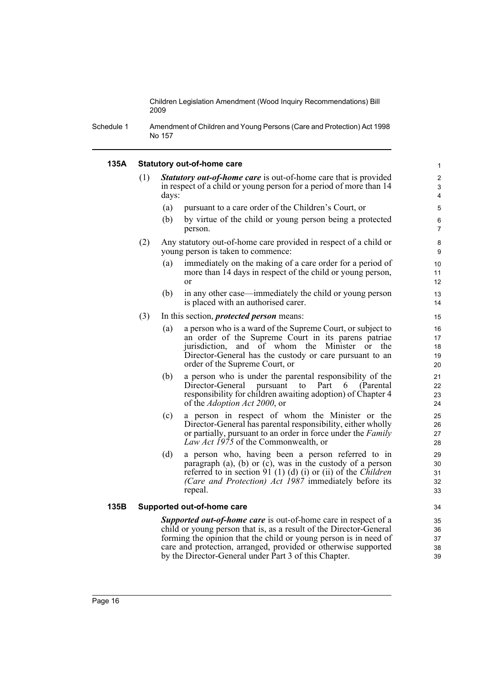Schedule 1 Amendment of Children and Young Persons (Care and Protection) Act 1998 No 157

#### **135A Statutory out-of-home care**

- (1) *Statutory out-of-home care* is out-of-home care that is provided in respect of a child or young person for a period of more than 14 days:
	- (a) pursuant to a care order of the Children's Court, or
	- (b) by virtue of the child or young person being a protected person.

- (2) Any statutory out-of-home care provided in respect of a child or young person is taken to commence:
	- (a) immediately on the making of a care order for a period of more than 14 days in respect of the child or young person, or
	- (b) in any other case—immediately the child or young person is placed with an authorised carer.
- (3) In this section, *protected person* means:
	- (a) a person who is a ward of the Supreme Court, or subject to an order of the Supreme Court in its parens patriae jurisdiction, and of whom the Minister or the Director-General has the custody or care pursuant to an order of the Supreme Court, or
	- (b) a person who is under the parental responsibility of the Director-General pursuant to Part 6 (Parental responsibility for children awaiting adoption) of Chapter 4 of the *Adoption Act 2000*, or
	- (c) a person in respect of whom the Minister or the Director-General has parental responsibility, either wholly or partially, pursuant to an order in force under the *Family Law Act 1975* of the Commonwealth, or
	- (d) a person who, having been a person referred to in paragraph (a), (b) or (c), was in the custody of a person referred to in section 91 (1) (d) (i) or (ii) of the *Children (Care and Protection) Act 1987* immediately before its repeal.

#### **135B Supported out-of-home care**

*Supported out-of-home care* is out-of-home care in respect of a child or young person that is, as a result of the Director-General forming the opinion that the child or young person is in need of care and protection, arranged, provided or otherwise supported by the Director-General under Part 3 of this Chapter.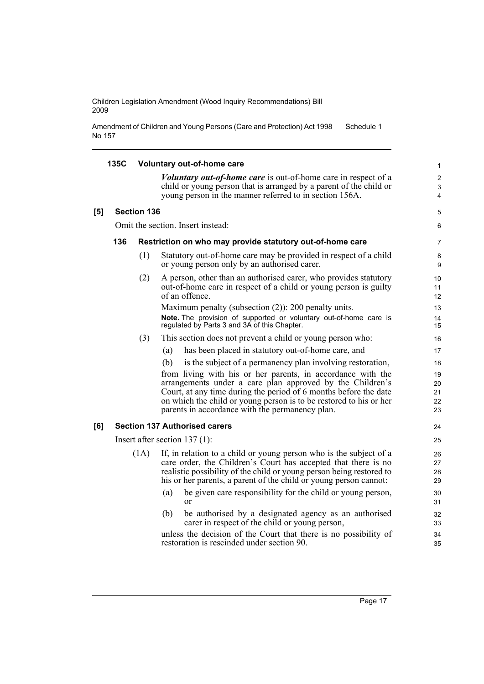Amendment of Children and Young Persons (Care and Protection) Act 1998 No 157 Schedule 1

|     | 135C |                    | <b>Voluntary out-of-home care</b>                                                                                                                                                                                                                                                                                     | 1                          |
|-----|------|--------------------|-----------------------------------------------------------------------------------------------------------------------------------------------------------------------------------------------------------------------------------------------------------------------------------------------------------------------|----------------------------|
|     |      |                    | <i>Voluntary out-of-home care</i> is out-of-home care in respect of a<br>child or young person that is arranged by a parent of the child or<br>young person in the manner referred to in section 156A.                                                                                                                | $\overline{2}$<br>3<br>4   |
| [5] |      | <b>Section 136</b> |                                                                                                                                                                                                                                                                                                                       | 5                          |
|     |      |                    | Omit the section. Insert instead:                                                                                                                                                                                                                                                                                     | 6                          |
|     | 136  |                    | Restriction on who may provide statutory out-of-home care                                                                                                                                                                                                                                                             | $\overline{7}$             |
|     |      | (1)                | Statutory out-of-home care may be provided in respect of a child<br>or young person only by an authorised carer.                                                                                                                                                                                                      | 8<br>9                     |
|     |      | (2)                | A person, other than an authorised carer, who provides statutory<br>out-of-home care in respect of a child or young person is guilty<br>of an offence.                                                                                                                                                                | 10<br>11<br>12             |
|     |      |                    | Maximum penalty (subsection $(2)$ ): 200 penalty units.<br>Note. The provision of supported or voluntary out-of-home care is<br>regulated by Parts 3 and 3A of this Chapter.                                                                                                                                          | 13<br>14<br>15             |
|     |      | (3)                | This section does not prevent a child or young person who:                                                                                                                                                                                                                                                            | 16                         |
|     |      |                    | has been placed in statutory out-of-home care, and<br>(a)                                                                                                                                                                                                                                                             | 17                         |
|     |      |                    | is the subject of a permanency plan involving restoration,<br>(b)                                                                                                                                                                                                                                                     | 18                         |
|     |      |                    | from living with his or her parents, in accordance with the<br>arrangements under a care plan approved by the Children's<br>Court, at any time during the period of 6 months before the date<br>on which the child or young person is to be restored to his or her<br>parents in accordance with the permanency plan. | 19<br>20<br>21<br>22<br>23 |
| [6] |      |                    | <b>Section 137 Authorised carers</b>                                                                                                                                                                                                                                                                                  | 24                         |
|     |      |                    | Insert after section $137(1)$ :                                                                                                                                                                                                                                                                                       | 25                         |
|     |      | (1A)               | If, in relation to a child or young person who is the subject of a<br>care order, the Children's Court has accepted that there is no<br>realistic possibility of the child or young person being restored to<br>his or her parents, a parent of the child or young person cannot:                                     | 26<br>27<br>28<br>29       |
|     |      |                    | be given care responsibility for the child or young person,<br>(a)<br><sub>or</sub>                                                                                                                                                                                                                                   | 30<br>31                   |
|     |      |                    | be authorised by a designated agency as an authorised<br>(b)<br>carer in respect of the child or young person,                                                                                                                                                                                                        | 32<br>33                   |
|     |      |                    | unless the decision of the Court that there is no possibility of<br>restoration is rescinded under section 90.                                                                                                                                                                                                        | 34<br>35                   |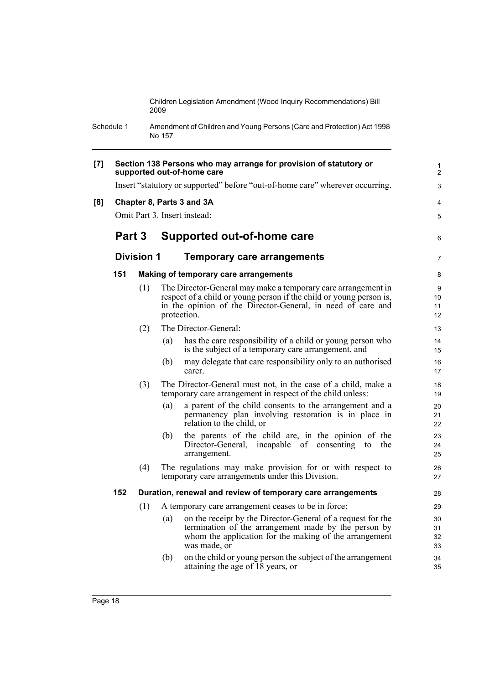Schedule 1 Amendment of Children and Young Persons (Care and Protection) Act 1998 No 157

| [7] |        |                   | Section 138 Persons who may arrange for provision of statutory or<br>supported out-of-home care                                                                                                                    | 1<br>2               |
|-----|--------|-------------------|--------------------------------------------------------------------------------------------------------------------------------------------------------------------------------------------------------------------|----------------------|
|     |        |                   | Insert "statutory or supported" before "out-of-home care" wherever occurring.                                                                                                                                      | 3                    |
| [8] |        |                   | Chapter 8, Parts 3 and 3A                                                                                                                                                                                          | 4                    |
|     |        |                   | Omit Part 3. Insert instead:                                                                                                                                                                                       | 5                    |
|     | Part 3 |                   | Supported out-of-home care                                                                                                                                                                                         | 6                    |
|     |        | <b>Division 1</b> | Temporary care arrangements                                                                                                                                                                                        | $\overline{7}$       |
|     | 151    |                   | Making of temporary care arrangements                                                                                                                                                                              | 8                    |
|     |        | (1)               | The Director-General may make a temporary care arrangement in<br>respect of a child or young person if the child or young person is,<br>in the opinion of the Director-General, in need of care and<br>protection. | 9<br>10<br>11<br>12  |
|     |        | (2)               | The Director-General:                                                                                                                                                                                              | 13                   |
|     |        |                   | has the care responsibility of a child or young person who<br>(a)<br>is the subject of a temporary care arrangement, and                                                                                           | 14<br>15             |
|     |        |                   | may delegate that care responsibility only to an authorised<br>(b)<br>carer.                                                                                                                                       | 16<br>17             |
|     |        | (3)               | The Director-General must not, in the case of a child, make a<br>temporary care arrangement in respect of the child unless:                                                                                        | 18<br>19             |
|     |        |                   | (a)<br>a parent of the child consents to the arrangement and a<br>permanency plan involving restoration is in place in<br>relation to the child, or                                                                | 20<br>21<br>22       |
|     |        |                   | the parents of the child are, in the opinion of the<br>(b)<br>Director-General, incapable of consenting<br>the<br>to<br>arrangement.                                                                               | 23<br>24<br>25       |
|     |        | (4)               | The regulations may make provision for or with respect to<br>temporary care arrangements under this Division.                                                                                                      | 26<br>27             |
|     | 152    |                   | Duration, renewal and review of temporary care arrangements                                                                                                                                                        | 28                   |
|     |        | (1)               | A temporary care arrangement ceases to be in force:                                                                                                                                                                | 29                   |
|     |        |                   | on the receipt by the Director-General of a request for the<br>(a)<br>termination of the arrangement made by the person by<br>whom the application for the making of the arrangement<br>was made, or               | 30<br>31<br>32<br>33 |
|     |        |                   | on the child or young person the subject of the arrangement<br>(b)<br>attaining the age of $18$ years, or                                                                                                          | 34<br>35             |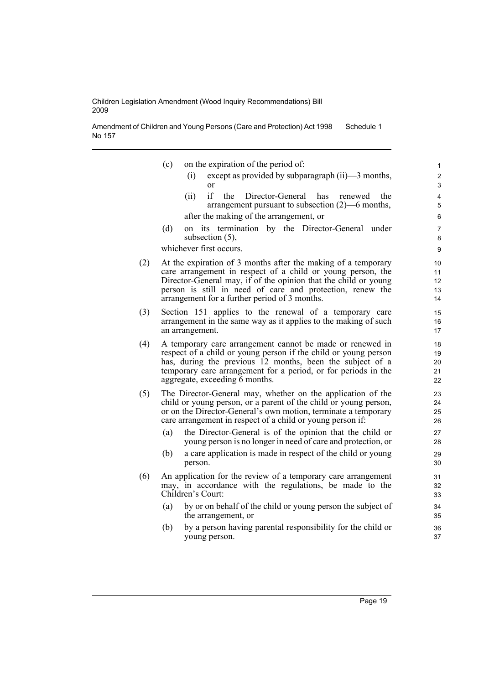Amendment of Children and Young Persons (Care and Protection) Act 1998 No 157 Schedule 1

- (c) on the expiration of the period of:
	- (i) except as provided by subparagraph (ii)—3 months, or

- (ii) if the Director-General has renewed the arrangement pursuant to subsection (2)—6 months, after the making of the arrangement, or
- (d) on its termination by the Director-General under subsection (5),

whichever first occurs.

- (2) At the expiration of 3 months after the making of a temporary care arrangement in respect of a child or young person, the Director-General may, if of the opinion that the child or young person is still in need of care and protection, renew the arrangement for a further period of 3 months.
- (3) Section 151 applies to the renewal of a temporary care arrangement in the same way as it applies to the making of such an arrangement.
- (4) A temporary care arrangement cannot be made or renewed in respect of a child or young person if the child or young person has, during the previous 12 months, been the subject of a temporary care arrangement for a period, or for periods in the aggregate, exceeding 6 months.
- (5) The Director-General may, whether on the application of the child or young person, or a parent of the child or young person, or on the Director-General's own motion, terminate a temporary care arrangement in respect of a child or young person if:
	- (a) the Director-General is of the opinion that the child or young person is no longer in need of care and protection, or
	- (b) a care application is made in respect of the child or young person.
- (6) An application for the review of a temporary care arrangement may, in accordance with the regulations, be made to the Children's Court:
	- (a) by or on behalf of the child or young person the subject of the arrangement, or
	- (b) by a person having parental responsibility for the child or young person.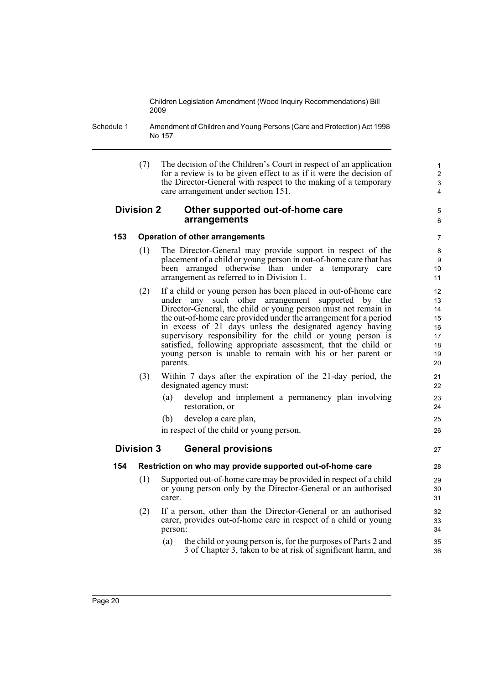Schedule 1 Amendment of Children and Young Persons (Care and Protection) Act 1998 No 157

> (7) The decision of the Children's Court in respect of an application for a review is to be given effect to as if it were the decision of the Director-General with respect to the making of a temporary care arrangement under section 151.

5 6

27

# **Division 2 Other supported out-of-home care arrangements**

# **153 Operation of other arrangements**

- (1) The Director-General may provide support in respect of the placement of a child or young person in out-of-home care that has been arranged otherwise than under a temporary care arrangement as referred to in Division 1.
- (2) If a child or young person has been placed in out-of-home care under any such other arrangement supported by the Director-General, the child or young person must not remain in the out-of-home care provided under the arrangement for a period in excess of 21 days unless the designated agency having supervisory responsibility for the child or young person is satisfied, following appropriate assessment, that the child or young person is unable to remain with his or her parent or parents.
- (3) Within 7 days after the expiration of the 21-day period, the designated agency must:
	- (a) develop and implement a permanency plan involving restoration, or
	- (b) develop a care plan,

in respect of the child or young person.

# **Division 3 General provisions**

# **154 Restriction on who may provide supported out-of-home care**

- (1) Supported out-of-home care may be provided in respect of a child or young person only by the Director-General or an authorised carer.
- (2) If a person, other than the Director-General or an authorised carer, provides out-of-home care in respect of a child or young person:
	- (a) the child or young person is, for the purposes of Parts 2 and 3 of Chapter 3, taken to be at risk of significant harm, and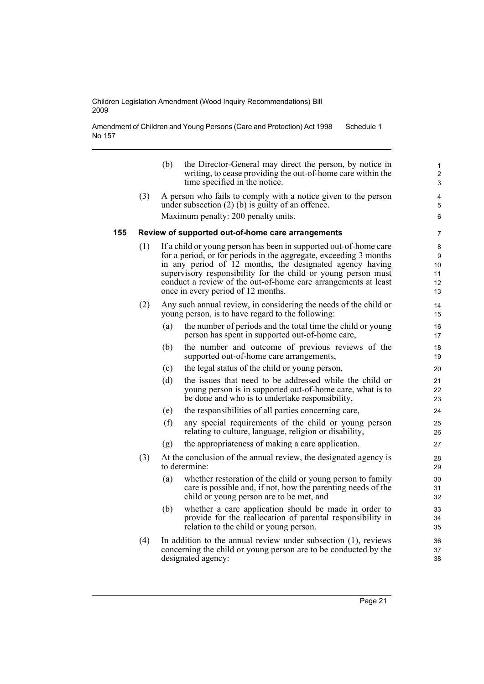Amendment of Children and Young Persons (Care and Protection) Act 1998 No 157 Schedule 1

|     |     | (b) | the Director-General may direct the person, by notice in<br>writing, to cease providing the out-of-home care within the<br>time specified in the notice.                | 1<br>$\overline{\mathbf{c}}$<br>3 |
|-----|-----|-----|-------------------------------------------------------------------------------------------------------------------------------------------------------------------------|-----------------------------------|
|     | (3) |     | A person who fails to comply with a notice given to the person<br>under subsection $(2)$ (b) is guilty of an offence.                                                   | 4<br>5                            |
|     |     |     | Maximum penalty: 200 penalty units.                                                                                                                                     | 6                                 |
| 155 |     |     | Review of supported out-of-home care arrangements                                                                                                                       | $\overline{7}$                    |
|     | (1) |     | If a child or young person has been in supported out-of-home care<br>for a period, or for periods in the aggregate, exceeding 3 months                                  | 8<br>9                            |
|     |     |     | in any period of 12 months, the designated agency having                                                                                                                | 10                                |
|     |     |     | supervisory responsibility for the child or young person must                                                                                                           | 11                                |
|     |     |     | conduct a review of the out-of-home care arrangements at least<br>once in every period of 12 months.                                                                    | 12<br>13                          |
|     | (2) |     | Any such annual review, in considering the needs of the child or<br>young person, is to have regard to the following:                                                   | 14<br>15                          |
|     |     | (a) | the number of periods and the total time the child or young<br>person has spent in supported out-of-home care,                                                          | 16<br>17                          |
|     |     | (b) | the number and outcome of previous reviews of the<br>supported out-of-home care arrangements,                                                                           | 18<br>19                          |
|     |     | (c) | the legal status of the child or young person,                                                                                                                          | 20                                |
|     |     | (d) | the issues that need to be addressed while the child or<br>young person is in supported out-of-home care, what is to<br>be done and who is to undertake responsibility, | 21<br>22<br>23                    |
|     |     | (e) | the responsibilities of all parties concerning care,                                                                                                                    | 24                                |
|     |     | (f) | any special requirements of the child or young person<br>relating to culture, language, religion or disability,                                                         | 25<br>26                          |
|     |     | (g) | the appropriateness of making a care application.                                                                                                                       | 27                                |
|     | (3) |     | At the conclusion of the annual review, the designated agency is<br>to determine:                                                                                       | 28<br>29                          |
|     |     | (a) | whether restoration of the child or young person to family<br>care is possible and, if not, how the parenting needs of the<br>child or young person are to be met, and  | 30<br>31<br>32                    |
|     |     | (b) | whether a care application should be made in order to<br>provide for the reallocation of parental responsibility in<br>relation to the child or young person.           | 33<br>34<br>35                    |
|     | (4) |     | In addition to the annual review under subsection (1), reviews<br>concerning the child or young person are to be conducted by the<br>designated agency:                 | 36<br>37<br>38                    |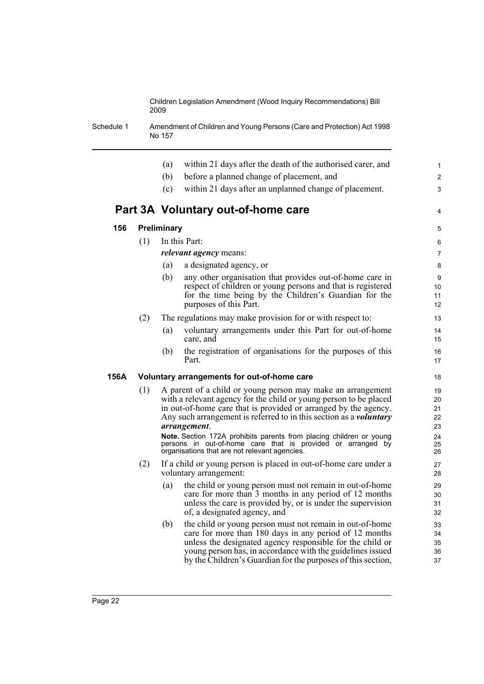Schedule 1 Amendment of Children and Young Persons (Care and Protection) Act 1998 No 157

|      |     | within 21 days after the death of the authorised carer, and<br>(a)                                                                                                                                                                                                                                                                                                      | $\mathbf{1}$                     |
|------|-----|-------------------------------------------------------------------------------------------------------------------------------------------------------------------------------------------------------------------------------------------------------------------------------------------------------------------------------------------------------------------------|----------------------------------|
|      |     | (b)<br>before a planned change of placement, and                                                                                                                                                                                                                                                                                                                        | $\overline{2}$                   |
|      |     | (c)<br>within 21 days after an unplanned change of placement.                                                                                                                                                                                                                                                                                                           | 3                                |
|      |     | Part 3A Voluntary out-of-home care                                                                                                                                                                                                                                                                                                                                      | 4                                |
| 156  |     | Preliminary                                                                                                                                                                                                                                                                                                                                                             | 5                                |
|      | (1) | In this Part:                                                                                                                                                                                                                                                                                                                                                           | 6                                |
|      |     | <i>relevant agency</i> means:                                                                                                                                                                                                                                                                                                                                           | 7                                |
|      |     | a designated agency, or<br>(a)                                                                                                                                                                                                                                                                                                                                          | 8                                |
|      |     | any other organisation that provides out-of-home care in<br>(b)<br>respect of children or young persons and that is registered<br>for the time being by the Children's Guardian for the<br>purposes of this Part.                                                                                                                                                       | 9<br>10<br>11<br>12              |
|      | (2) | The regulations may make provision for or with respect to:                                                                                                                                                                                                                                                                                                              | 13                               |
|      |     | (a)<br>voluntary arrangements under this Part for out-of-home<br>care, and                                                                                                                                                                                                                                                                                              | 14<br>15                         |
|      |     | the registration of organisations for the purposes of this<br>(b)<br>Part.                                                                                                                                                                                                                                                                                              | 16<br>17                         |
| 156A |     | Voluntary arrangements for out-of-home care                                                                                                                                                                                                                                                                                                                             | 18                               |
|      | (1) | A parent of a child or young person may make an arrangement<br>with a relevant agency for the child or young person to be placed<br>in out-of-home care that is provided or arranged by the agency.<br>Any such arrangement is referred to in this section as a <i>voluntary</i><br>arrangement.<br>Note. Section 172A prohibits parents from placing children or young | 19<br>20<br>21<br>22<br>23<br>24 |
|      |     | persons in out-of-home care that is provided or arranged by<br>organisations that are not relevant agencies.                                                                                                                                                                                                                                                            | 25<br>26                         |
|      | (2) | If a child or young person is placed in out-of-home care under a<br>voluntary arrangement:                                                                                                                                                                                                                                                                              | 27<br>28                         |
|      |     | (a)<br>the child or young person must not remain in out-of-home<br>care for more than 3 months in any period of 12 months<br>unless the care is provided by, or is under the supervision<br>of, a designated agency, and                                                                                                                                                | 29<br>30<br>31<br>32             |
|      |     | the child or young person must not remain in out-of-home<br>(b)<br>care for more than 180 days in any period of 12 months<br>unless the designated agency responsible for the child or<br>young person has, in accordance with the guidelines issued<br>by the Children's Guardian for the purposes of this section,                                                    | 33<br>34<br>35<br>36<br>37       |
|      |     |                                                                                                                                                                                                                                                                                                                                                                         |                                  |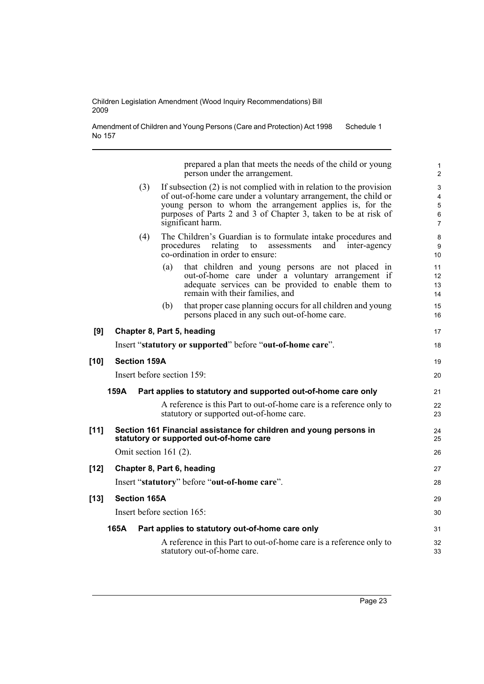Amendment of Children and Young Persons (Care and Protection) Act 1998 No 157 Schedule 1

> prepared a plan that meets the needs of the child or young person under the arrangement.

1

|        |                     | person under the arrangement.                                                                                                                                                                                                                                                               | $\overline{c}$                                                             |
|--------|---------------------|---------------------------------------------------------------------------------------------------------------------------------------------------------------------------------------------------------------------------------------------------------------------------------------------|----------------------------------------------------------------------------|
|        | (3)                 | If subsection $(2)$ is not complied with in relation to the provision<br>of out-of-home care under a voluntary arrangement, the child or<br>young person to whom the arrangement applies is, for the<br>purposes of Parts 2 and 3 of Chapter 3, taken to be at risk of<br>significant harm. | $\ensuremath{\mathsf{3}}$<br>4<br>$\mathbf 5$<br>$\,6\,$<br>$\overline{7}$ |
|        | (4)                 | The Children's Guardian is to formulate intake procedures and<br>relating<br>procedures<br>to<br>assessments<br>and<br>inter-agency<br>co-ordination in order to ensure:                                                                                                                    | $\bf 8$<br>9<br>10                                                         |
|        |                     | that children and young persons are not placed in<br>(a)<br>out-of-home care under a voluntary arrangement if<br>adequate services can be provided to enable them to<br>remain with their families, and                                                                                     | 11<br>12<br>13<br>14                                                       |
|        |                     | that proper case planning occurs for all children and young<br>(b)<br>persons placed in any such out-of-home care.                                                                                                                                                                          | 15<br>16                                                                   |
| [9]    |                     | Chapter 8, Part 5, heading                                                                                                                                                                                                                                                                  | 17                                                                         |
|        |                     | Insert "statutory or supported" before "out-of-home care".                                                                                                                                                                                                                                  | 18                                                                         |
| $[10]$ | <b>Section 159A</b> |                                                                                                                                                                                                                                                                                             | 19                                                                         |
|        |                     | Insert before section 159:                                                                                                                                                                                                                                                                  | 20                                                                         |
|        | 159A                | Part applies to statutory and supported out-of-home care only                                                                                                                                                                                                                               | 21                                                                         |
|        |                     | A reference is this Part to out-of-home care is a reference only to<br>statutory or supported out-of-home care.                                                                                                                                                                             | 22<br>23                                                                   |
| $[11]$ |                     | Section 161 Financial assistance for children and young persons in<br>statutory or supported out-of-home care                                                                                                                                                                               | 24<br>25                                                                   |
|        |                     | Omit section $161(2)$ .                                                                                                                                                                                                                                                                     | 26                                                                         |
| [12]   |                     | Chapter 8, Part 6, heading                                                                                                                                                                                                                                                                  | 27                                                                         |
|        |                     | Insert "statutory" before "out-of-home care".                                                                                                                                                                                                                                               | 28                                                                         |
| [13]   | <b>Section 165A</b> |                                                                                                                                                                                                                                                                                             | 29                                                                         |
|        |                     | Insert before section 165:                                                                                                                                                                                                                                                                  | 30                                                                         |
|        | 165A                | Part applies to statutory out-of-home care only                                                                                                                                                                                                                                             | 31                                                                         |
|        |                     | A reference in this Part to out-of-home care is a reference only to<br>statutory out-of-home care.                                                                                                                                                                                          | 32<br>33                                                                   |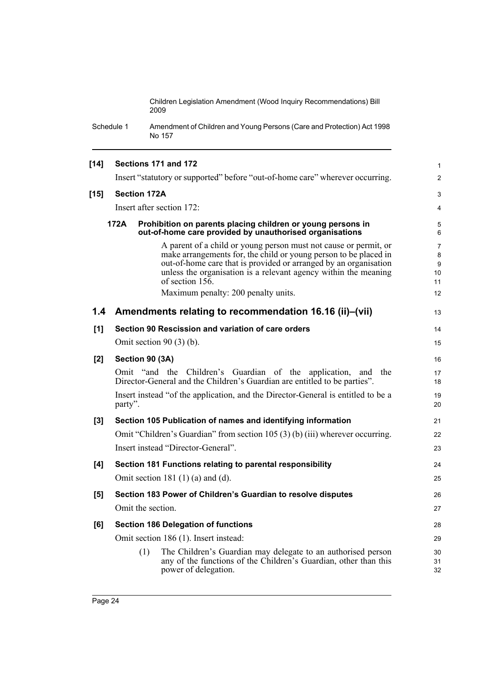Schedule 1 Amendment of Children and Young Persons (Care and Protection) Act 1998 No 157

| $[14]$        |         | Sections 171 and 172                                                                                                                                                                                                                                                                                                                                | $\mathbf{1}$                               |
|---------------|---------|-----------------------------------------------------------------------------------------------------------------------------------------------------------------------------------------------------------------------------------------------------------------------------------------------------------------------------------------------------|--------------------------------------------|
|               |         | Insert "statutory or supported" before "out-of-home care" wherever occurring.                                                                                                                                                                                                                                                                       | $\overline{2}$                             |
| $[15]$        |         | <b>Section 172A</b>                                                                                                                                                                                                                                                                                                                                 | 3                                          |
|               |         | Insert after section 172:                                                                                                                                                                                                                                                                                                                           | 4                                          |
|               | 172A    | Prohibition on parents placing children or young persons in<br>out-of-home care provided by unauthorised organisations                                                                                                                                                                                                                              | 5<br>6                                     |
|               |         | A parent of a child or young person must not cause or permit, or<br>make arrangements for, the child or young person to be placed in<br>out-of-home care that is provided or arranged by an organisation<br>unless the organisation is a relevant agency within the meaning<br>of section $15\overline{6}$ .<br>Maximum penalty: 200 penalty units. | $\overline{7}$<br>8<br>9<br>10<br>11<br>12 |
| $1.4^{\circ}$ |         | Amendments relating to recommendation 16.16 (ii)–(vii)                                                                                                                                                                                                                                                                                              | 13                                         |
|               |         |                                                                                                                                                                                                                                                                                                                                                     |                                            |
| [1]           |         | Section 90 Rescission and variation of care orders                                                                                                                                                                                                                                                                                                  | 14                                         |
|               |         | Omit section $90(3)$ (b).                                                                                                                                                                                                                                                                                                                           | 15                                         |
| [2]           |         | Section 90 (3A)                                                                                                                                                                                                                                                                                                                                     | 16                                         |
|               |         | Omit "and the Children's Guardian of the application,<br>and the<br>Director-General and the Children's Guardian are entitled to be parties".                                                                                                                                                                                                       | 17<br>18                                   |
|               | party". | Insert instead "of the application, and the Director-General is entitled to be a                                                                                                                                                                                                                                                                    | 19<br>20                                   |
| [3]           |         | Section 105 Publication of names and identifying information                                                                                                                                                                                                                                                                                        | 21                                         |
|               |         | Omit "Children's Guardian" from section 105 (3) (b) (iii) wherever occurring.                                                                                                                                                                                                                                                                       | 22                                         |
|               |         | Insert instead "Director-General".                                                                                                                                                                                                                                                                                                                  | 23                                         |
| [4]           |         | Section 181 Functions relating to parental responsibility                                                                                                                                                                                                                                                                                           | 24                                         |
|               |         | Omit section 181 $(1)$ $(a)$ and $(d)$ .                                                                                                                                                                                                                                                                                                            | 25                                         |
| [5]           |         | Section 183 Power of Children's Guardian to resolve disputes                                                                                                                                                                                                                                                                                        | 26                                         |
|               |         | Omit the section.                                                                                                                                                                                                                                                                                                                                   | 27                                         |
| [6]           |         | <b>Section 186 Delegation of functions</b>                                                                                                                                                                                                                                                                                                          | 28                                         |
|               |         | Omit section 186 (1). Insert instead:                                                                                                                                                                                                                                                                                                               | 29                                         |
|               |         | The Children's Guardian may delegate to an authorised person<br>(1)<br>any of the functions of the Children's Guardian, other than this<br>power of delegation.                                                                                                                                                                                     | 30<br>31<br>32                             |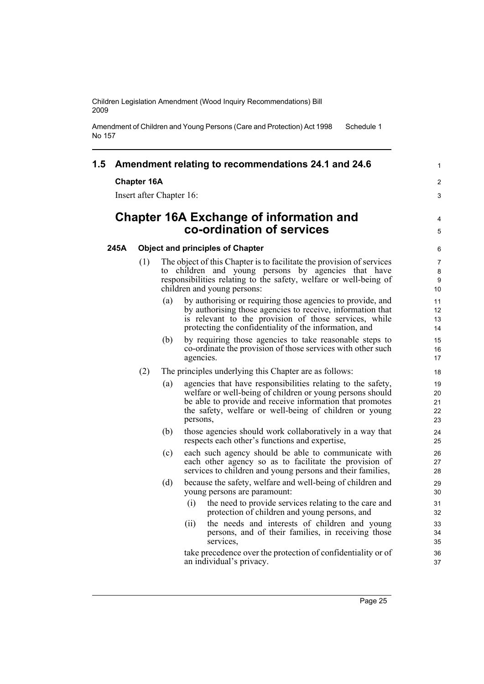Amendment of Children and Young Persons (Care and Protection) Act 1998 No 157 Schedule 1

# **1.5 Amendment relating to recommendations 24.1 and 24.6**

### **Chapter 16A**

Insert after Chapter 16:

# **Chapter 16A Exchange of information and co-ordination of services**

### **245A Object and principles of Chapter**

- (1) The object of this Chapter is to facilitate the provision of services to children and young persons by agencies that have responsibilities relating to the safety, welfare or well-being of children and young persons:
	- (a) by authorising or requiring those agencies to provide, and by authorising those agencies to receive, information that is relevant to the provision of those services, while protecting the confidentiality of the information, and
	- (b) by requiring those agencies to take reasonable steps to co-ordinate the provision of those services with other such agencies.
- (2) The principles underlying this Chapter are as follows:
	- (a) agencies that have responsibilities relating to the safety, welfare or well-being of children or young persons should be able to provide and receive information that promotes the safety, welfare or well-being of children or young persons,
	- (b) those agencies should work collaboratively in a way that respects each other's functions and expertise,
	- (c) each such agency should be able to communicate with each other agency so as to facilitate the provision of services to children and young persons and their families,
	- (d) because the safety, welfare and well-being of children and young persons are paramount:
		- (i) the need to provide services relating to the care and protection of children and young persons, and
		- (ii) the needs and interests of children and young persons, and of their families, in receiving those services,

take precedence over the protection of confidentiality or of an individual's privacy.

1

2 3

4 5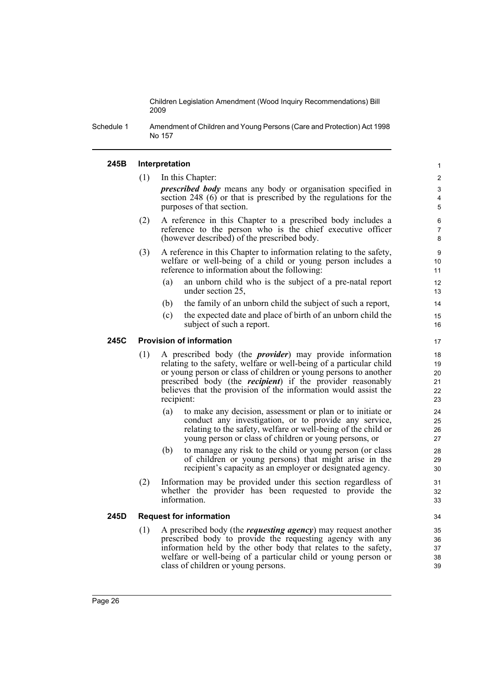Schedule 1 Amendment of Children and Young Persons (Care and Protection) Act 1998 No 157

#### **245B Interpretation**

(1) In this Chapter:

*prescribed body* means any body or organisation specified in section 248 (6) or that is prescribed by the regulations for the purposes of that section.

- (2) A reference in this Chapter to a prescribed body includes a reference to the person who is the chief executive officer (however described) of the prescribed body.
- (3) A reference in this Chapter to information relating to the safety, welfare or well-being of a child or young person includes a reference to information about the following:
	- (a) an unborn child who is the subject of a pre-natal report under section 25,
	- (b) the family of an unborn child the subject of such a report,
	- (c) the expected date and place of birth of an unborn child the subject of such a report.

### **245C Provision of information**

- (1) A prescribed body (the *provider*) may provide information relating to the safety, welfare or well-being of a particular child or young person or class of children or young persons to another prescribed body (the *recipient*) if the provider reasonably believes that the provision of the information would assist the recipient:
	- (a) to make any decision, assessment or plan or to initiate or conduct any investigation, or to provide any service, relating to the safety, welfare or well-being of the child or young person or class of children or young persons, or
	- (b) to manage any risk to the child or young person (or class of children or young persons) that might arise in the recipient's capacity as an employer or designated agency.
- (2) Information may be provided under this section regardless of whether the provider has been requested to provide the information.

#### **245D Request for information**

(1) A prescribed body (the *requesting agency*) may request another prescribed body to provide the requesting agency with any information held by the other body that relates to the safety, welfare or well-being of a particular child or young person or class of children or young persons.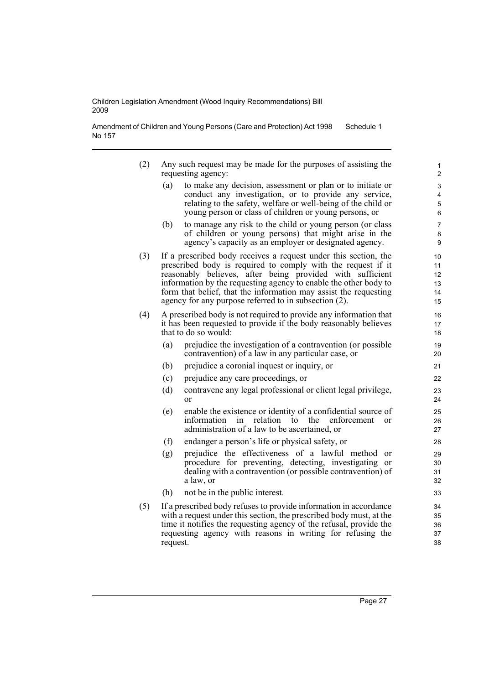Amendment of Children and Young Persons (Care and Protection) Act 1998 No 157 Schedule 1

- (2) Any such request may be made for the purposes of assisting the requesting agency:
	- (a) to make any decision, assessment or plan or to initiate or conduct any investigation, or to provide any service, relating to the safety, welfare or well-being of the child or young person or class of children or young persons, or
	- (b) to manage any risk to the child or young person (or class of children or young persons) that might arise in the agency's capacity as an employer or designated agency.
- (3) If a prescribed body receives a request under this section, the prescribed body is required to comply with the request if it reasonably believes, after being provided with sufficient information by the requesting agency to enable the other body to form that belief, that the information may assist the requesting agency for any purpose referred to in subsection (2).
- (4) A prescribed body is not required to provide any information that it has been requested to provide if the body reasonably believes that to do so would:
	- (a) prejudice the investigation of a contravention (or possible contravention) of a law in any particular case, or
	- (b) prejudice a coronial inquest or inquiry, or
	- (c) prejudice any care proceedings, or
	- (d) contravene any legal professional or client legal privilege, or
	- (e) enable the existence or identity of a confidential source of information in relation to the enforcement or administration of a law to be ascertained, or
	- (f) endanger a person's life or physical safety, or
	- (g) prejudice the effectiveness of a lawful method or procedure for preventing, detecting, investigating or dealing with a contravention (or possible contravention) of a law, or
	- (h) not be in the public interest.
- (5) If a prescribed body refuses to provide information in accordance with a request under this section, the prescribed body must, at the time it notifies the requesting agency of the refusal, provide the requesting agency with reasons in writing for refusing the request.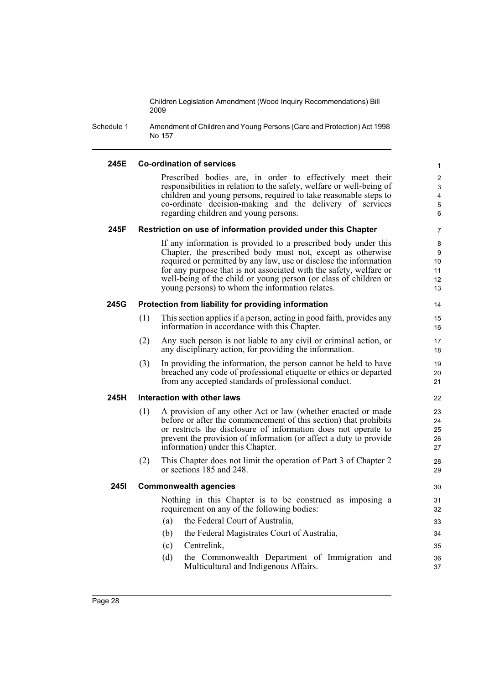Schedule 1 Amendment of Children and Young Persons (Care and Protection) Act 1998 No 157

# **245E Co-ordination of services**

Prescribed bodies are, in order to effectively meet their responsibilities in relation to the safety, welfare or well-being of children and young persons, required to take reasonable steps to co-ordinate decision-making and the delivery of services regarding children and young persons.

#### **245F Restriction on use of information provided under this Chapter**

If any information is provided to a prescribed body under this Chapter, the prescribed body must not, except as otherwise required or permitted by any law, use or disclose the information for any purpose that is not associated with the safety, welfare or well-being of the child or young person (or class of children or young persons) to whom the information relates.

#### **245G Protection from liability for providing information**

- (1) This section applies if a person, acting in good faith, provides any information in accordance with this Chapter.
- (2) Any such person is not liable to any civil or criminal action, or any disciplinary action, for providing the information.
- (3) In providing the information, the person cannot be held to have breached any code of professional etiquette or ethics or departed from any accepted standards of professional conduct.

# **245H Interaction with other laws**

- (1) A provision of any other Act or law (whether enacted or made before or after the commencement of this section) that prohibits or restricts the disclosure of information does not operate to prevent the provision of information (or affect a duty to provide information) under this Chapter.
- (2) This Chapter does not limit the operation of Part 3 of Chapter 2 or sections 185 and 248.

#### **245I Commonwealth agencies**

Nothing in this Chapter is to be construed as imposing a requirement on any of the following bodies:

- (a) the Federal Court of Australia,
- (b) the Federal Magistrates Court of Australia,
- (c) Centrelink,
- (d) the Commonwealth Department of Immigration and Multicultural and Indigenous Affairs.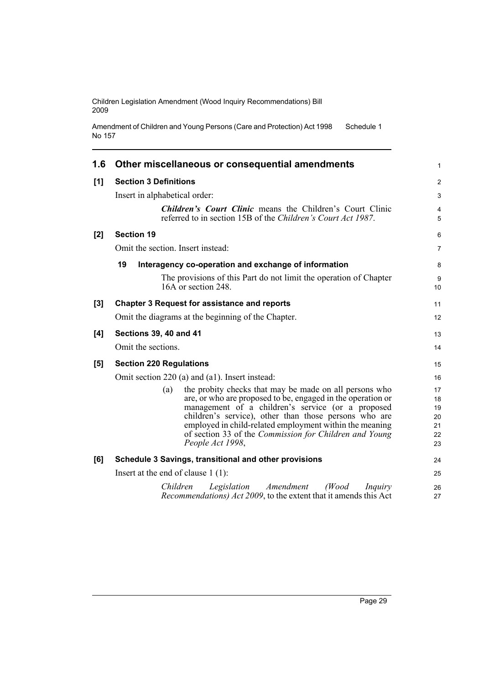```
Amendment of Children and Young Persons (Care and Protection) Act 1998 
No 157
                                                                         Schedule 1
```

| 1.6 | Other miscellaneous or consequential amendments                                                                                  | 1              |
|-----|----------------------------------------------------------------------------------------------------------------------------------|----------------|
| [1] | <b>Section 3 Definitions</b>                                                                                                     | $\overline{c}$ |
|     | Insert in alphabetical order:                                                                                                    | 3              |
|     | <b>Children's Court Clinic means the Children's Court Clinic</b><br>referred to in section 15B of the Children's Court Act 1987. | 4<br>5         |
| [2] | <b>Section 19</b>                                                                                                                | 6              |
|     | Omit the section. Insert instead:                                                                                                | 7              |
|     | 19<br>Interagency co-operation and exchange of information                                                                       | 8              |
|     | The provisions of this Part do not limit the operation of Chapter<br>16A or section 248.                                         | 9<br>10        |
| [3] | <b>Chapter 3 Request for assistance and reports</b>                                                                              | 11             |
|     | Omit the diagrams at the beginning of the Chapter.                                                                               | 12             |
| [4] | <b>Sections 39, 40 and 41</b>                                                                                                    | 13             |
|     | Omit the sections.                                                                                                               | 14             |
| [5] | <b>Section 220 Regulations</b>                                                                                                   | 15             |
|     | Omit section 220 (a) and (a1). Insert instead:                                                                                   | 16             |
|     | the probity checks that may be made on all persons who<br>(a)                                                                    | 17             |
|     | are, or who are proposed to be, engaged in the operation or                                                                      | 18             |
|     | management of a children's service (or a proposed<br>children's service), other than those persons who are                       | 19<br>20       |
|     | employed in child-related employment within the meaning                                                                          | 21             |
|     | of section 33 of the Commission for Children and Young                                                                           | 22             |
|     | People Act 1998,                                                                                                                 | 23             |
| [6] | Schedule 3 Savings, transitional and other provisions                                                                            | 24             |
|     | Insert at the end of clause $1(1)$ :                                                                                             | 25             |
|     | Legislation Amendment<br>(Wood)<br>Children<br>Inquiry<br>Recommendations) Act 2009, to the extent that it amends this Act       | 26<br>27       |
|     |                                                                                                                                  |                |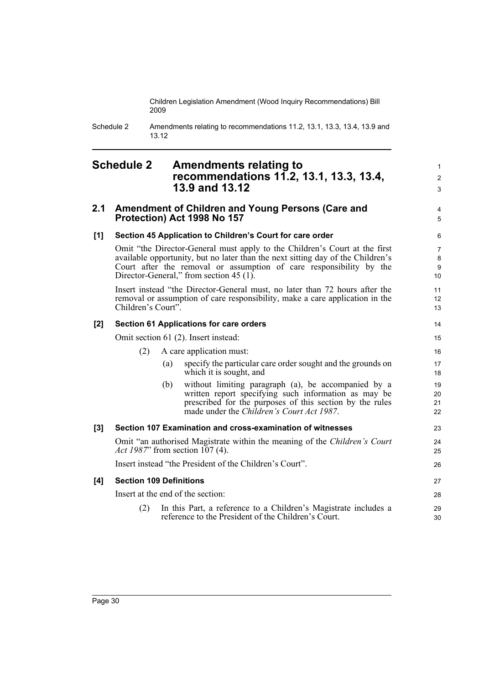> 1 2 3

> 4 5

14

Schedule 2 Amendments relating to recommendations 11.2, 13.1, 13.3, 13.4, 13.9 and 13.12

# <span id="page-41-0"></span>**Schedule 2 Amendments relating to recommendations 11.2, 13.1, 13.3, 13.4, 13.9 and 13.12**

# **2.1 Amendment of Children and Young Persons (Care and Protection) Act 1998 No 157**

# **[1] Section 45 Application to Children's Court for care order**

Omit "the Director-General must apply to the Children's Court at the first available opportunity, but no later than the next sitting day of the Children's Court after the removal or assumption of care responsibility by the Director-General," from section 45 (1).

Insert instead "the Director-General must, no later than 72 hours after the removal or assumption of care responsibility, make a care application in the Children's Court".

# **[2] Section 61 Applications for care orders**

Omit section 61 (2). Insert instead:

|     |                                |     | Omit section 61 (2). Insert instead:                                                                                                                                                                                 | 15                   |
|-----|--------------------------------|-----|----------------------------------------------------------------------------------------------------------------------------------------------------------------------------------------------------------------------|----------------------|
|     | (2)                            |     | A care application must:                                                                                                                                                                                             | 16                   |
|     |                                | (a) | specify the particular care order sought and the grounds on<br>which it is sought, and                                                                                                                               | 17<br>18             |
|     |                                | (b) | without limiting paragraph (a), be accompanied by a<br>written report specifying such information as may be<br>prescribed for the purposes of this section by the rules<br>made under the Children's Court Act 1987. | 19<br>20<br>21<br>22 |
| [3] |                                |     | Section 107 Examination and cross-examination of witnesses                                                                                                                                                           | 23                   |
|     |                                |     | Omit "an authorised Magistrate within the meaning of the Children's Court<br><i>Act 1987</i> " from section 107 (4).                                                                                                 | 24<br>25             |
|     |                                |     | Insert instead "the President of the Children's Court".                                                                                                                                                              | 26                   |
| [4] | <b>Section 109 Definitions</b> |     |                                                                                                                                                                                                                      | 27                   |
|     |                                |     | Insert at the end of the section:                                                                                                                                                                                    | 28                   |
|     | (2)                            |     | In this Part, a reference to a Children's Magistrate includes a<br>reference to the President of the Children's Court.                                                                                               | 29<br>30             |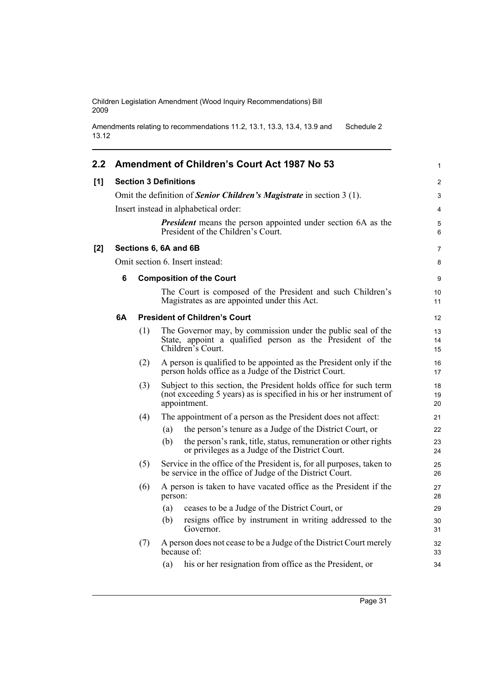```
Amendments relating to recommendations 11.2, 13.1, 13.3, 13.4, 13.9 and 
13.12
                                                                          Schedule 2
```

| 2.2 |    |     | Amendment of Children's Court Act 1987 No 53                                                                                                             | 1              |
|-----|----|-----|----------------------------------------------------------------------------------------------------------------------------------------------------------|----------------|
| [1] |    |     | <b>Section 3 Definitions</b>                                                                                                                             | 2              |
|     |    |     | Omit the definition of Senior Children's Magistrate in section 3 (1).                                                                                    | 3              |
|     |    |     | Insert instead in alphabetical order:                                                                                                                    | $\overline{4}$ |
|     |    |     | <b>President</b> means the person appointed under section 6A as the<br>President of the Children's Court.                                                | 5<br>6         |
| [2] |    |     | Sections 6, 6A and 6B                                                                                                                                    | $\overline{7}$ |
|     |    |     | Omit section 6. Insert instead:                                                                                                                          | 8              |
|     | 6  |     | <b>Composition of the Court</b>                                                                                                                          | 9              |
|     |    |     | The Court is composed of the President and such Children's<br>Magistrates as are appointed under this Act.                                               | 10<br>11       |
|     | 6А |     | <b>President of Children's Court</b>                                                                                                                     | 12             |
|     |    | (1) | The Governor may, by commission under the public seal of the<br>State, appoint a qualified person as the President of the<br>Children's Court.           | 13<br>14<br>15 |
|     |    | (2) | A person is qualified to be appointed as the President only if the<br>person holds office as a Judge of the District Court.                              | 16<br>17       |
|     |    | (3) | Subject to this section, the President holds office for such term<br>(not exceeding 5 years) as is specified in his or her instrument of<br>appointment. | 18<br>19<br>20 |
|     |    | (4) | The appointment of a person as the President does not affect:                                                                                            | 21             |
|     |    |     | the person's tenure as a Judge of the District Court, or<br>(a)                                                                                          | 22             |
|     |    |     | the person's rank, title, status, remuneration or other rights<br>(b)<br>or privileges as a Judge of the District Court.                                 | 23<br>24       |
|     |    | (5) | Service in the office of the President is, for all purposes, taken to<br>be service in the office of Judge of the District Court.                        | 25<br>26       |
|     |    | (6) | A person is taken to have vacated office as the President if the<br>person:                                                                              | 27<br>28       |
|     |    |     | ceases to be a Judge of the District Court, or<br>(a)                                                                                                    | 29             |
|     |    |     | resigns office by instrument in writing addressed to the<br>(b)<br>Governor.                                                                             | 30<br>31       |
|     |    | (7) | A person does not cease to be a Judge of the District Court merely<br>because of:                                                                        | 32<br>33       |
|     |    |     | his or her resignation from office as the President, or<br>(a)                                                                                           | 34             |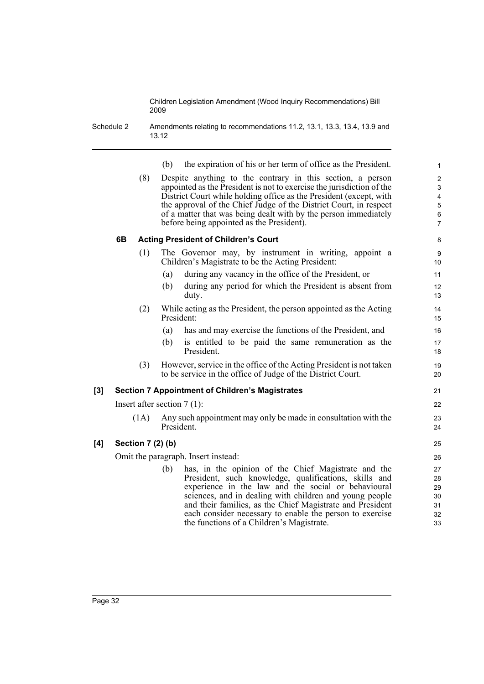Schedule 2 Amendments relating to recommendations 11.2, 13.1, 13.3, 13.4, 13.9 and 13.12

|    | the expiration of his or her term of office as the President.<br>(b)                                                                                                                                                                                                                                                                                                                                  |  |
|----|-------------------------------------------------------------------------------------------------------------------------------------------------------------------------------------------------------------------------------------------------------------------------------------------------------------------------------------------------------------------------------------------------------|--|
|    | Despite anything to the contrary in this section, a person<br>(8)<br>appointed as the President is not to exercise the jurisdiction of the<br>District Court while holding office as the President (except, with<br>the approval of the Chief Judge of the District Court, in respect<br>of a matter that was being dealt with by the person immediately<br>before being appointed as the President). |  |
| 6B | <b>Acting President of Children's Court</b>                                                                                                                                                                                                                                                                                                                                                           |  |

- (1) The Governor may, by instrument in writing, appoint a Children's Magistrate to be the Acting President:
	- (a) during any vacancy in the office of the President, or
	- (b) during any period for which the President is absent from duty.
- (2) While acting as the President, the person appointed as the Acting President:
	- (a) has and may exercise the functions of the President, and
	- (b) is entitled to be paid the same remuneration as the President.
- (3) However, service in the office of the Acting President is not taken to be service in the office of Judge of the District Court.

# **[3] Section 7 Appointment of Children's Magistrates**

Insert after section 7 (1):

(1A) Any such appointment may only be made in consultation with the President.

# **[4] Section 7 (2) (b)**

Omit the paragraph. Insert instead:

(b) has, in the opinion of the Chief Magistrate and the President, such knowledge, qualifications, skills and experience in the law and the social or behavioural sciences, and in dealing with children and young people and their families, as the Chief Magistrate and President each consider necessary to enable the person to exercise the functions of a Children's Magistrate.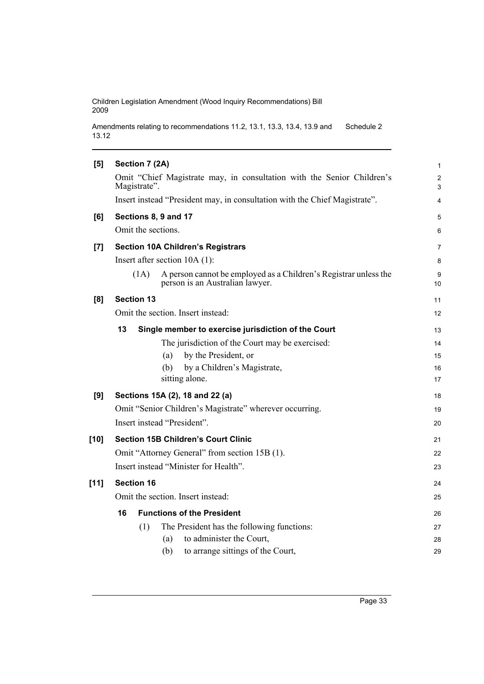Amendments relating to recommendations 11.2, 13.1, 13.3, 13.4, 13.9 and 13.12 Schedule 2

| [5]    | Section 7 (2A)                                                                                              | 1       |
|--------|-------------------------------------------------------------------------------------------------------------|---------|
|        | Omit "Chief Magistrate may, in consultation with the Senior Children's<br>Magistrate".                      | 2<br>3  |
|        | Insert instead "President may, in consultation with the Chief Magistrate".                                  | 4       |
| [6]    | Sections 8, 9 and 17                                                                                        | 5       |
|        | Omit the sections.                                                                                          | 6       |
| [7]    | <b>Section 10A Children's Registrars</b>                                                                    | 7       |
|        | Insert after section $10A(1)$ :                                                                             | 8       |
|        | A person cannot be employed as a Children's Registrar unless the<br>(1A)<br>person is an Australian lawyer. | 9<br>10 |
| [8]    | <b>Section 13</b>                                                                                           | 11      |
|        | Omit the section. Insert instead:                                                                           | 12      |
|        | 13<br>Single member to exercise jurisdiction of the Court                                                   | 13      |
|        | The jurisdiction of the Court may be exercised:                                                             | 14      |
|        | by the President, or<br>(a)                                                                                 | 15      |
|        | by a Children's Magistrate,<br>(b)                                                                          | 16      |
|        | sitting alone.                                                                                              | 17      |
| [9]    | Sections 15A (2), 18 and 22 (a)                                                                             | 18      |
|        | Omit "Senior Children's Magistrate" wherever occurring.                                                     | 19      |
|        | Insert instead "President".                                                                                 | 20      |
| $[10]$ | <b>Section 15B Children's Court Clinic</b>                                                                  | 21      |
|        | Omit "Attorney General" from section 15B (1).                                                               | 22      |
|        | Insert instead "Minister for Health".                                                                       | 23      |
| $[11]$ | <b>Section 16</b>                                                                                           | 24      |
|        | Omit the section. Insert instead:                                                                           | 25      |
|        | 16<br><b>Functions of the President</b>                                                                     | 26      |
|        | The President has the following functions:<br>(1)                                                           | 27      |
|        | to administer the Court,<br>(a)                                                                             | 28      |
|        | to arrange sittings of the Court,<br>(b)                                                                    | 29      |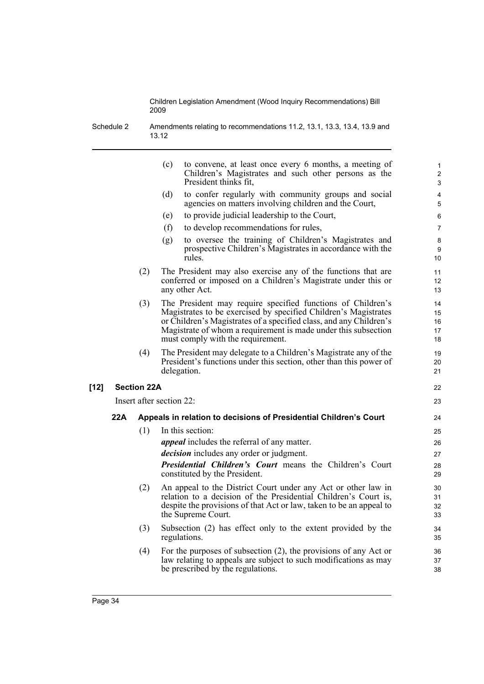Schedule 2 Amendments relating to recommendations 11.2, 13.1, 13.3, 13.4, 13.9 and 13.12

|     |                    | (c)<br>to convene, at least once every 6 months, a meeting of<br>Children's Magistrates and such other persons as the<br>President thinks fit,                                                                                                                                                              | $\mathbf{1}$<br>2<br>3     |
|-----|--------------------|-------------------------------------------------------------------------------------------------------------------------------------------------------------------------------------------------------------------------------------------------------------------------------------------------------------|----------------------------|
|     |                    | (d)<br>to confer regularly with community groups and social<br>agencies on matters involving children and the Court,                                                                                                                                                                                        | 4<br>5                     |
|     |                    | to provide judicial leadership to the Court,<br>(e)                                                                                                                                                                                                                                                         | 6                          |
|     |                    | (f)<br>to develop recommendations for rules,                                                                                                                                                                                                                                                                | $\overline{7}$             |
|     |                    | to oversee the training of Children's Magistrates and<br>(g)<br>prospective Children's Magistrates in accordance with the<br>rules.                                                                                                                                                                         | 8<br>9<br>10               |
|     | (2)                | The President may also exercise any of the functions that are<br>conferred or imposed on a Children's Magistrate under this or<br>any other Act.                                                                                                                                                            | 11<br>12<br>13             |
|     | (3)                | The President may require specified functions of Children's<br>Magistrates to be exercised by specified Children's Magistrates<br>or Children's Magistrates of a specified class, and any Children's<br>Magistrate of whom a requirement is made under this subsection<br>must comply with the requirement. | 14<br>15<br>16<br>17<br>18 |
|     | (4)                | The President may delegate to a Children's Magistrate any of the<br>President's functions under this section, other than this power of<br>delegation.                                                                                                                                                       | 19<br>20<br>21             |
|     | <b>Section 22A</b> |                                                                                                                                                                                                                                                                                                             | 22                         |
|     |                    | Insert after section 22:                                                                                                                                                                                                                                                                                    | 23                         |
| 22A |                    | Appeals in relation to decisions of Presidential Children's Court                                                                                                                                                                                                                                           | 24                         |
|     | (1)                | In this section:                                                                                                                                                                                                                                                                                            | 25                         |
|     |                    | <i>appeal</i> includes the referral of any matter.                                                                                                                                                                                                                                                          | 26                         |
|     |                    | <i>decision</i> includes any order or judgment.                                                                                                                                                                                                                                                             | 27                         |
|     |                    | <b>Presidential Children's Court means the Children's Court</b><br>constituted by the President.                                                                                                                                                                                                            | 28<br>29                   |
|     | (2)                | An appeal to the District Court under any Act or other law in<br>relation to a decision of the Presidential Children's Court is,<br>despite the provisions of that Act or law, taken to be an appeal to<br>the Supreme Court.                                                                               | 30<br>31<br>32<br>33       |
|     | (3)                | Subsection (2) has effect only to the extent provided by the<br>regulations.                                                                                                                                                                                                                                | 34<br>35                   |
|     | (4)                | For the purposes of subsection $(2)$ , the provisions of any Act or<br>law relating to appeals are subject to such modifications as may<br>be prescribed by the regulations.                                                                                                                                | 36<br>37<br>38             |

**[12]**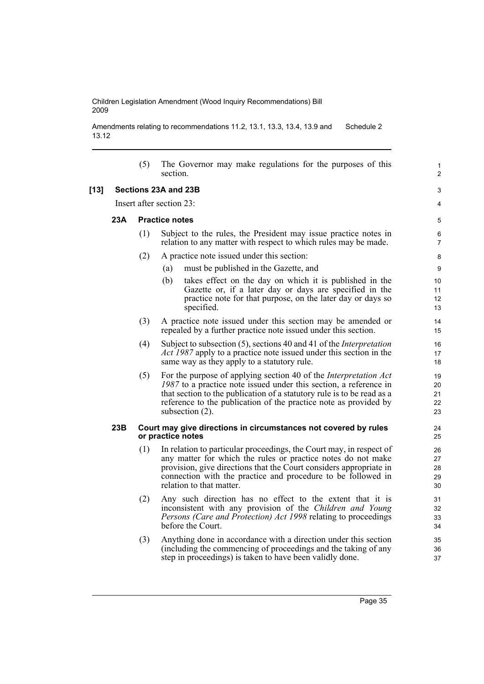Amendments relating to recommendations 11.2, 13.1, 13.3, 13.4, 13.9 and 13.12 Schedule 2

|        |     | (5) | The Governor may make regulations for the purposes of this<br>section.                                                                                                                                                                                                                                           | 1<br>$\overline{2}$        |
|--------|-----|-----|------------------------------------------------------------------------------------------------------------------------------------------------------------------------------------------------------------------------------------------------------------------------------------------------------------------|----------------------------|
| $[13]$ |     |     | Sections 23A and 23B                                                                                                                                                                                                                                                                                             | 3                          |
|        |     |     | Insert after section 23:                                                                                                                                                                                                                                                                                         | 4                          |
|        | 23A |     | <b>Practice notes</b>                                                                                                                                                                                                                                                                                            | 5                          |
|        |     | (1) | Subject to the rules, the President may issue practice notes in<br>relation to any matter with respect to which rules may be made.                                                                                                                                                                               | 6<br>$\overline{7}$        |
|        |     | (2) | A practice note issued under this section:                                                                                                                                                                                                                                                                       | 8                          |
|        |     |     | must be published in the Gazette, and<br>(a)                                                                                                                                                                                                                                                                     | 9                          |
|        |     |     | (b)<br>takes effect on the day on which it is published in the<br>Gazette or, if a later day or days are specified in the<br>practice note for that purpose, on the later day or days so<br>specified.                                                                                                           | 10<br>11<br>12<br>13       |
|        |     | (3) | A practice note issued under this section may be amended or<br>repealed by a further practice note issued under this section.                                                                                                                                                                                    | 14<br>15                   |
|        |     | (4) | Subject to subsection (5), sections 40 and 41 of the <i>Interpretation</i><br>Act 1987 apply to a practice note issued under this section in the<br>same way as they apply to a statutory rule.                                                                                                                  | 16<br>17<br>18             |
|        |     | (5) | For the purpose of applying section 40 of the <i>Interpretation Act</i><br>1987 to a practice note issued under this section, a reference in<br>that section to the publication of a statutory rule is to be read as a<br>reference to the publication of the practice note as provided by<br>subsection $(2)$ . | 19<br>20<br>21<br>22<br>23 |
|        | 23B |     | Court may give directions in circumstances not covered by rules<br>or practice notes                                                                                                                                                                                                                             | 24<br>25                   |
|        |     | (1) | In relation to particular proceedings, the Court may, in respect of<br>any matter for which the rules or practice notes do not make<br>provision, give directions that the Court considers appropriate in<br>connection with the practice and procedure to be followed in<br>relation to that matter.            | 26<br>27<br>28<br>29<br>30 |
|        |     | (2) | Any such direction has no effect to the extent that it is<br>inconsistent with any provision of the Children and Young<br>Persons (Care and Protection) Act 1998 relating to proceedings<br>before the Court.                                                                                                    | 31<br>32<br>33<br>34       |
|        |     | (3) | Anything done in accordance with a direction under this section<br>(including the commencing of proceedings and the taking of any<br>step in proceedings) is taken to have been validly done.                                                                                                                    | 35<br>36<br>37             |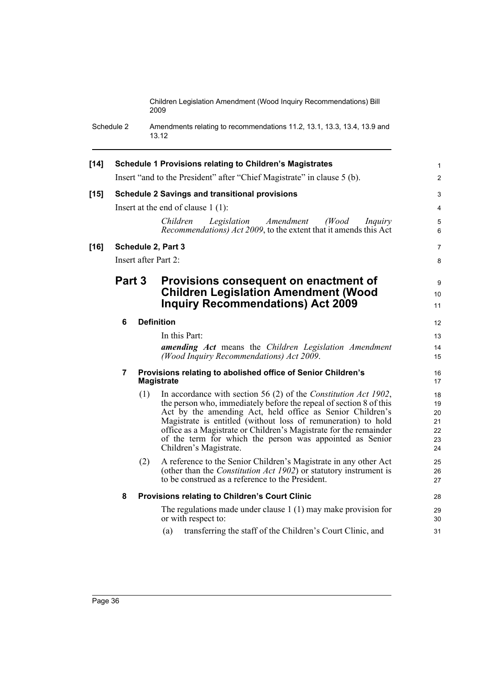Schedule 2 Amendments relating to recommendations 11.2, 13.1, 13.3, 13.4, 13.9 and 13.12

| $[14]$ |                |     | <b>Schedule 1 Provisions relating to Children's Magistrates</b>                                                                                                                                                                                                                                                                                                                                                                | $\mathbf{1}$                           |
|--------|----------------|-----|--------------------------------------------------------------------------------------------------------------------------------------------------------------------------------------------------------------------------------------------------------------------------------------------------------------------------------------------------------------------------------------------------------------------------------|----------------------------------------|
|        |                |     | Insert "and to the President" after "Chief Magistrate" in clause 5 (b).                                                                                                                                                                                                                                                                                                                                                        | $\overline{2}$                         |
| $[15]$ |                |     | <b>Schedule 2 Savings and transitional provisions</b><br>Insert at the end of clause $1(1)$ :                                                                                                                                                                                                                                                                                                                                  | 3<br>$\overline{4}$                    |
|        |                |     | Amendment<br>(Wood)<br><i>Children</i><br>Legislation<br>Inquiry<br>Recommendations) Act 2009, to the extent that it amends this Act                                                                                                                                                                                                                                                                                           | 5<br>6                                 |
| $[16]$ |                |     | Schedule 2, Part 3                                                                                                                                                                                                                                                                                                                                                                                                             | $\overline{7}$                         |
|        |                |     | Insert after Part 2:                                                                                                                                                                                                                                                                                                                                                                                                           | 8                                      |
|        | Part 3         |     | Provisions consequent on enactment of                                                                                                                                                                                                                                                                                                                                                                                          | $\boldsymbol{9}$                       |
|        |                |     | <b>Children Legislation Amendment (Wood</b><br><b>Inquiry Recommendations) Act 2009</b>                                                                                                                                                                                                                                                                                                                                        | 10<br>11                               |
|        | 6              |     | <b>Definition</b>                                                                                                                                                                                                                                                                                                                                                                                                              | $12 \overline{ }$                      |
|        |                |     | In this Part:                                                                                                                                                                                                                                                                                                                                                                                                                  | 13                                     |
|        |                |     | <b>amending Act</b> means the Children Legislation Amendment<br>(Wood Inquiry Recommendations) Act 2009.                                                                                                                                                                                                                                                                                                                       | 14<br>15                               |
|        | $\overline{7}$ |     | Provisions relating to abolished office of Senior Children's<br><b>Magistrate</b>                                                                                                                                                                                                                                                                                                                                              | 16<br>17                               |
|        |                | (1) | In accordance with section 56 (2) of the Constitution Act 1902,<br>the person who, immediately before the repeal of section 8 of this<br>Act by the amending Act, held office as Senior Children's<br>Magistrate is entitled (without loss of remuneration) to hold<br>office as a Magistrate or Children's Magistrate for the remainder<br>of the term for which the person was appointed as Senior<br>Children's Magistrate. | 18<br>19<br>20<br>21<br>22<br>23<br>24 |
|        |                | (2) | A reference to the Senior Children's Magistrate in any other Act<br>(other than the <i>Constitution Act 1902</i> ) or statutory instrument is<br>to be construed as a reference to the President.                                                                                                                                                                                                                              | 25<br>26<br>27                         |
|        | 8              |     | <b>Provisions relating to Children's Court Clinic</b>                                                                                                                                                                                                                                                                                                                                                                          | 28                                     |
|        |                |     | The regulations made under clause $1(1)$ may make provision for<br>or with respect to:<br>transferring the staff of the Children's Court Clinic, and<br>(a)                                                                                                                                                                                                                                                                    | 29<br>30<br>31                         |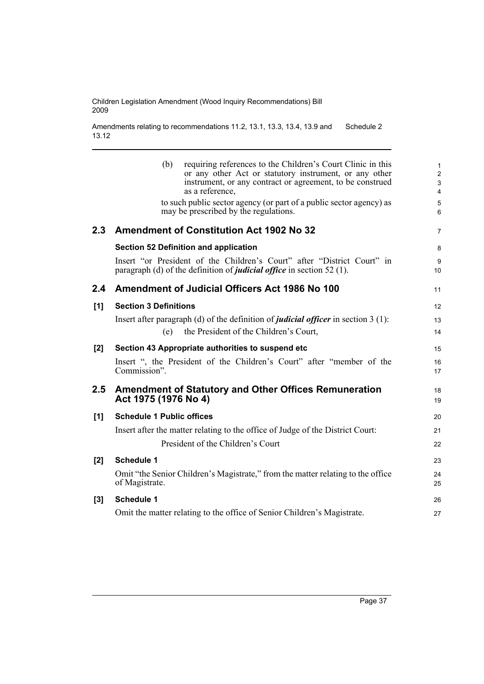Amendments relating to recommendations 11.2, 13.1, 13.3, 13.4, 13.9 and 13.12 Schedule 2

|                  | requiring references to the Children's Court Clinic in this<br>(b)<br>or any other Act or statutory instrument, or any other<br>instrument, or any contract or agreement, to be construed<br>as a reference,<br>to such public sector agency (or part of a public sector agency) as<br>may be prescribed by the regulations. | 1<br>$\overline{\mathbf{c}}$<br>3<br>4<br>5<br>6 |
|------------------|------------------------------------------------------------------------------------------------------------------------------------------------------------------------------------------------------------------------------------------------------------------------------------------------------------------------------|--------------------------------------------------|
| 2.3 <sub>2</sub> | <b>Amendment of Constitution Act 1902 No 32</b>                                                                                                                                                                                                                                                                              | 7                                                |
|                  | <b>Section 52 Definition and application</b>                                                                                                                                                                                                                                                                                 | 8                                                |
|                  | Insert "or President of the Children's Court" after "District Court" in<br>paragraph (d) of the definition of <i>judicial office</i> in section 52 (1).                                                                                                                                                                      | 9<br>10                                          |
| 2.4              | Amendment of Judicial Officers Act 1986 No 100                                                                                                                                                                                                                                                                               | 11                                               |
| [1]              | <b>Section 3 Definitions</b>                                                                                                                                                                                                                                                                                                 | 12                                               |
|                  | Insert after paragraph (d) of the definition of <i>judicial officer</i> in section $3(1)$ :                                                                                                                                                                                                                                  | 13                                               |
|                  | the President of the Children's Court,<br>(e)                                                                                                                                                                                                                                                                                | 14                                               |
| [2]              | Section 43 Appropriate authorities to suspend etc                                                                                                                                                                                                                                                                            | 15                                               |
|                  | Insert ", the President of the Children's Court" after "member of the<br>Commission".                                                                                                                                                                                                                                        | 16<br>17                                         |
| 2.5              | <b>Amendment of Statutory and Other Offices Remuneration</b><br>Act 1975 (1976 No 4)                                                                                                                                                                                                                                         | 18<br>19                                         |
| [1]              | <b>Schedule 1 Public offices</b>                                                                                                                                                                                                                                                                                             | 20                                               |
|                  | Insert after the matter relating to the office of Judge of the District Court:                                                                                                                                                                                                                                               | 21                                               |
|                  | President of the Children's Court                                                                                                                                                                                                                                                                                            | 22                                               |
| [2]              | <b>Schedule 1</b>                                                                                                                                                                                                                                                                                                            | 23                                               |
|                  | Omit "the Senior Children's Magistrate," from the matter relating to the office<br>of Magistrate.                                                                                                                                                                                                                            | 24<br>25                                         |
| [3]              | <b>Schedule 1</b>                                                                                                                                                                                                                                                                                                            | 26                                               |
|                  | Omit the matter relating to the office of Senior Children's Magistrate.                                                                                                                                                                                                                                                      | 27                                               |
|                  |                                                                                                                                                                                                                                                                                                                              |                                                  |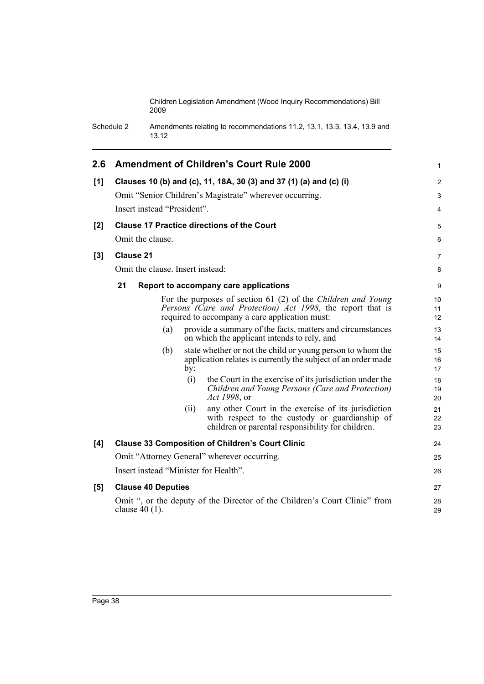Schedule 2 Amendments relating to recommendations 11.2, 13.1, 13.3, 13.4, 13.9 and 13.12

| 2.6   |    |                  |                             |      | <b>Amendment of Children's Court Rule 2000</b>                                                                                                                               | 1              |
|-------|----|------------------|-----------------------------|------|------------------------------------------------------------------------------------------------------------------------------------------------------------------------------|----------------|
| [1]   |    |                  |                             |      | Clauses 10 (b) and (c), 11, 18A, 30 (3) and 37 (1) (a) and (c) (i)                                                                                                           | $\overline{2}$ |
|       |    |                  |                             |      | Omit "Senior Children's Magistrate" wherever occurring.                                                                                                                      | 3              |
|       |    |                  | Insert instead "President". |      |                                                                                                                                                                              | 4              |
| [2]   |    |                  |                             |      | <b>Clause 17 Practice directions of the Court</b>                                                                                                                            | 5              |
|       |    | Omit the clause. |                             |      |                                                                                                                                                                              | 6              |
| $[3]$ |    | <b>Clause 21</b> |                             |      |                                                                                                                                                                              | 7              |
|       |    |                  |                             |      | Omit the clause. Insert instead:                                                                                                                                             | 8              |
|       | 21 |                  |                             |      | Report to accompany care applications                                                                                                                                        | 9              |
|       |    |                  |                             |      | For the purposes of section 61 (2) of the Children and Young<br>Persons (Care and Protection) Act 1998, the report that is<br>required to accompany a care application must: | 10<br>11<br>12 |
|       |    |                  | (a)                         |      | provide a summary of the facts, matters and circumstances<br>on which the applicant intends to rely, and                                                                     | 13<br>14       |
|       |    |                  | (b)                         | by:  | state whether or not the child or young person to whom the<br>application relates is currently the subject of an order made                                                  | 15<br>16<br>17 |
|       |    |                  |                             | (i)  | the Court in the exercise of its jurisdiction under the<br>Children and Young Persons (Care and Protection)<br>Act 1998, or                                                  | 18<br>19<br>20 |
|       |    |                  |                             | (ii) | any other Court in the exercise of its jurisdiction<br>with respect to the custody or guardianship of<br>children or parental responsibility for children.                   | 21<br>22<br>23 |
| [4]   |    |                  |                             |      | <b>Clause 33 Composition of Children's Court Clinic</b>                                                                                                                      | 24             |
|       |    |                  |                             |      | Omit "Attorney General" wherever occurring.                                                                                                                                  | 25             |
|       |    |                  |                             |      | Insert instead "Minister for Health".                                                                                                                                        | 26             |
| [5]   |    |                  | <b>Clause 40 Deputies</b>   |      |                                                                                                                                                                              | 27             |
|       |    | clause $40(1)$ . |                             |      | Omit ", or the deputy of the Director of the Children's Court Clinic" from                                                                                                   | 28<br>29       |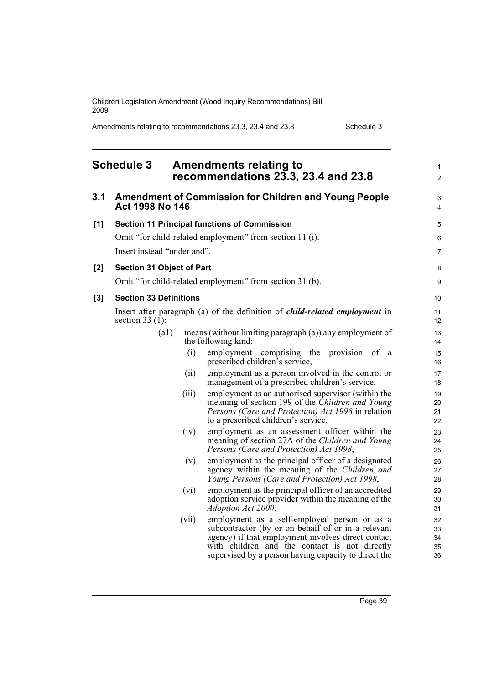Amendments relating to recommendations 23.3, 23.4 and 23.8 Schedule 3

| <b>Schedule 3</b> |                                  |       | <b>Amendments relating to</b><br>recommendations 23.3, 23.4 and 23.8                                                                                                                                                                                              |                            |  |
|-------------------|----------------------------------|-------|-------------------------------------------------------------------------------------------------------------------------------------------------------------------------------------------------------------------------------------------------------------------|----------------------------|--|
| 3.1               | Act 1998 No 146                  |       | <b>Amendment of Commission for Children and Young People</b>                                                                                                                                                                                                      | 3<br>4                     |  |
| [1]               |                                  |       | <b>Section 11 Principal functions of Commission</b>                                                                                                                                                                                                               | 5                          |  |
|                   |                                  |       | Omit "for child-related employment" from section 11 (i).                                                                                                                                                                                                          | 6                          |  |
|                   | Insert instead "under and".      |       |                                                                                                                                                                                                                                                                   | $\overline{7}$             |  |
| [2]               | <b>Section 31 Object of Part</b> |       |                                                                                                                                                                                                                                                                   | 8                          |  |
|                   |                                  |       | Omit "for child-related employment" from section 31 (b).                                                                                                                                                                                                          | 9                          |  |
| [3]               | <b>Section 33 Definitions</b>    |       |                                                                                                                                                                                                                                                                   | 10                         |  |
|                   | section $33(1)$ :                |       | Insert after paragraph (a) of the definition of <i>child-related employment</i> in                                                                                                                                                                                | 11<br>12                   |  |
|                   | (a1)                             |       | means (without limiting paragraph (a)) any employment of<br>the following kind:                                                                                                                                                                                   | 13<br>14                   |  |
|                   |                                  | (i)   | employment comprising<br>the<br>provision of a<br>prescribed children's service,                                                                                                                                                                                  | 15<br>16                   |  |
|                   |                                  | (ii)  | employment as a person involved in the control or<br>management of a prescribed children's service,                                                                                                                                                               | 17<br>18                   |  |
|                   |                                  | (iii) | employment as an authorised supervisor (within the<br>meaning of section 199 of the Children and Young<br>Persons (Care and Protection) Act 1998 in relation<br>to a prescribed children's service,                                                               | 19<br>20<br>21<br>22       |  |
|                   |                                  | (iv)  | employment as an assessment officer within the<br>meaning of section 27A of the Children and Young<br>Persons (Care and Protection) Act 1998,                                                                                                                     | 23<br>24<br>25             |  |
|                   |                                  | (v)   | employment as the principal officer of a designated<br>agency within the meaning of the Children and<br>Young Persons (Care and Protection) Act 1998,                                                                                                             | 26<br>27<br>28             |  |
|                   |                                  | (vi)  | employment as the principal officer of an accredited<br>adoption service provider within the meaning of the<br>$Adoption$ Act $2000$ ,                                                                                                                            | 29<br>30<br>31             |  |
|                   |                                  | (vii) | employment as a self-employed person or as a<br>subcontractor (by or on behalf of or in a relevant<br>agency) if that employment involves direct contact<br>with children and the contact is not directly<br>supervised by a person having capacity to direct the | 32<br>33<br>34<br>35<br>36 |  |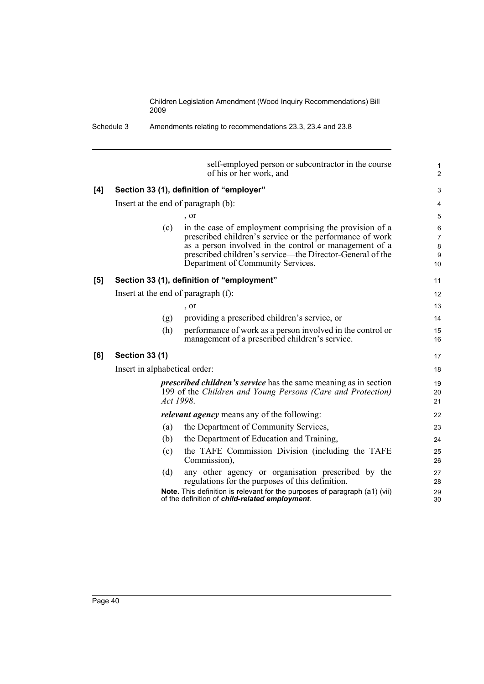Schedule 3 Amendments relating to recommendations 23.3, 23.4 and 23.8

|     | self-employed person or subcontractor in the course<br>of his or her work, and                                                                                                                                                                                                         | $\mathbf{1}$<br>$\overline{2}$            |
|-----|----------------------------------------------------------------------------------------------------------------------------------------------------------------------------------------------------------------------------------------------------------------------------------------|-------------------------------------------|
| [4] | Section 33 (1), definition of "employer"                                                                                                                                                                                                                                               | 3                                         |
|     | Insert at the end of paragraph (b):                                                                                                                                                                                                                                                    | $\overline{4}$                            |
|     | $\cdot$ or                                                                                                                                                                                                                                                                             | 5                                         |
|     | (c)<br>in the case of employment comprising the provision of a<br>prescribed children's service or the performance of work<br>as a person involved in the control or management of a<br>prescribed children's service—the Director-General of the<br>Department of Community Services. | 6<br>$\overline{7}$<br>$\bf 8$<br>9<br>10 |
| [5] | Section 33 (1), definition of "employment"                                                                                                                                                                                                                                             | 11                                        |
|     | Insert at the end of paragraph (f):                                                                                                                                                                                                                                                    | 12                                        |
|     | , or                                                                                                                                                                                                                                                                                   | 13                                        |
|     | providing a prescribed children's service, or<br>(g)                                                                                                                                                                                                                                   | 14                                        |
|     | (h)<br>performance of work as a person involved in the control or<br>management of a prescribed children's service.                                                                                                                                                                    | 15<br>16                                  |
| [6] | <b>Section 33 (1)</b>                                                                                                                                                                                                                                                                  | 17                                        |
|     | Insert in alphabetical order:                                                                                                                                                                                                                                                          | 18                                        |
|     | <i>prescribed children's service</i> has the same meaning as in section<br>199 of the Children and Young Persons (Care and Protection)<br>Act 1998.                                                                                                                                    | 19<br>20<br>21                            |
|     | <i>relevant agency</i> means any of the following:                                                                                                                                                                                                                                     | 22                                        |
|     | the Department of Community Services,<br>(a)                                                                                                                                                                                                                                           | 23                                        |
|     | the Department of Education and Training,<br>(b)                                                                                                                                                                                                                                       | 24                                        |
|     | the TAFE Commission Division (including the TAFE<br>(c)<br>Commission),                                                                                                                                                                                                                | 25<br>26                                  |
|     | (d)<br>any other agency or organisation prescribed by the<br>regulations for the purposes of this definition.                                                                                                                                                                          | 27<br>28                                  |
|     | Note. This definition is relevant for the purposes of paragraph (a1) (vii)<br>of the definition of child-related employment.                                                                                                                                                           | 29<br>30                                  |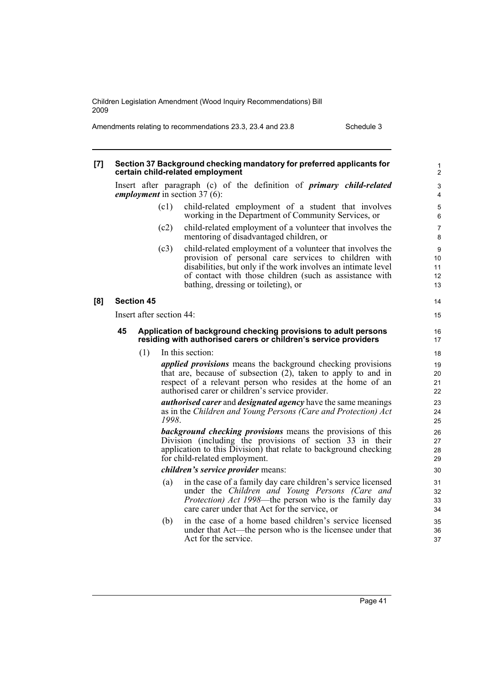Amendments relating to recommendations 23.3, 23.4 and 23.8 Schedule 3

| $\lbrack 7 \rbrack$ |    |                   |                          | Section 37 Background checking mandatory for preferred applicants for<br>certain child-related employment                                                                                                                                                                            | 1<br>$\overline{2}$       |
|---------------------|----|-------------------|--------------------------|--------------------------------------------------------------------------------------------------------------------------------------------------------------------------------------------------------------------------------------------------------------------------------------|---------------------------|
|                     |    |                   |                          | Insert after paragraph (c) of the definition of <i>primary child-related</i><br><i>employment</i> in section 37 (6):                                                                                                                                                                 | 3<br>4                    |
|                     |    |                   | (c1)                     | child-related employment of a student that involves<br>working in the Department of Community Services, or                                                                                                                                                                           | 5<br>6                    |
|                     |    |                   | (c2)                     | child-related employment of a volunteer that involves the<br>mentoring of disadvantaged children, or                                                                                                                                                                                 | 7<br>8                    |
|                     |    |                   | (c3)                     | child-related employment of a volunteer that involves the<br>provision of personal care services to children with<br>disabilities, but only if the work involves an intimate level<br>of contact with those children (such as assistance with<br>bathing, dressing or toileting), or | 9<br>10<br>11<br>12<br>13 |
| [8]                 |    | <b>Section 45</b> |                          |                                                                                                                                                                                                                                                                                      | 14                        |
|                     |    |                   | Insert after section 44: |                                                                                                                                                                                                                                                                                      | 15                        |
|                     | 45 |                   |                          | Application of background checking provisions to adult persons<br>residing with authorised carers or children's service providers                                                                                                                                                    | 16<br>17                  |
|                     |    | (1)               |                          | In this section:                                                                                                                                                                                                                                                                     | 18                        |
|                     |    |                   |                          | <i>applied provisions</i> means the background checking provisions<br>that are, because of subsection (2), taken to apply to and in<br>respect of a relevant person who resides at the home of an<br>authorised carer or children's service provider.                                | 19<br>20<br>21<br>22      |
|                     |    |                   | 1998                     | <i>authorised carer</i> and <i>designated agency</i> have the same meanings<br>as in the Children and Young Persons (Care and Protection) Act                                                                                                                                        | 23<br>24<br>25            |
|                     |    |                   |                          | <b>background checking provisions</b> means the provisions of this<br>Division (including the provisions of section 33 in their<br>application to this Division) that relate to background checking<br>for child-related employment.                                                 | 26<br>27<br>28<br>29      |
|                     |    |                   |                          | children's service provider means:                                                                                                                                                                                                                                                   | 30                        |
|                     |    |                   | (a)                      | in the case of a family day care children's service licensed<br>under the Children and Young Persons (Care and<br><i>Protection) Act 1998</i> —the person who is the family day<br>care carer under that Act for the service, or                                                     | 31<br>32<br>33<br>34      |
|                     |    |                   | (b)                      | in the case of a home based children's service licensed<br>under that Act—the person who is the licensee under that<br>Act for the service.                                                                                                                                          | 35<br>36<br>37            |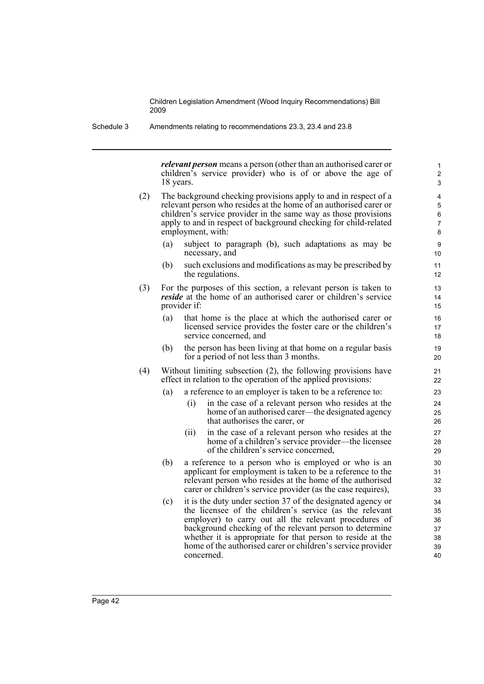*relevant person* means a person (other than an authorised carer or children's service provider) who is of or above the age of 18 years.

- (2) The background checking provisions apply to and in respect of a relevant person who resides at the home of an authorised carer or children's service provider in the same way as those provisions apply to and in respect of background checking for child-related employment, with:
	- (a) subject to paragraph (b), such adaptations as may be necessary, and
	- (b) such exclusions and modifications as may be prescribed by the regulations.
- (3) For the purposes of this section, a relevant person is taken to *reside* at the home of an authorised carer or children's service provider if:
	- (a) that home is the place at which the authorised carer or licensed service provides the foster care or the children's service concerned, and
	- (b) the person has been living at that home on a regular basis for a period of not less than 3 months.
- (4) Without limiting subsection (2), the following provisions have effect in relation to the operation of the applied provisions:
	- (a) a reference to an employer is taken to be a reference to:
		- (i) in the case of a relevant person who resides at the home of an authorised carer—the designated agency that authorises the carer, or
		- (ii) in the case of a relevant person who resides at the home of a children's service provider—the licensee of the children's service concerned,
	- (b) a reference to a person who is employed or who is an applicant for employment is taken to be a reference to the relevant person who resides at the home of the authorised carer or children's service provider (as the case requires),
	- (c) it is the duty under section 37 of the designated agency or the licensee of the children's service (as the relevant employer) to carry out all the relevant procedures of background checking of the relevant person to determine whether it is appropriate for that person to reside at the home of the authorised carer or children's service provider concerned.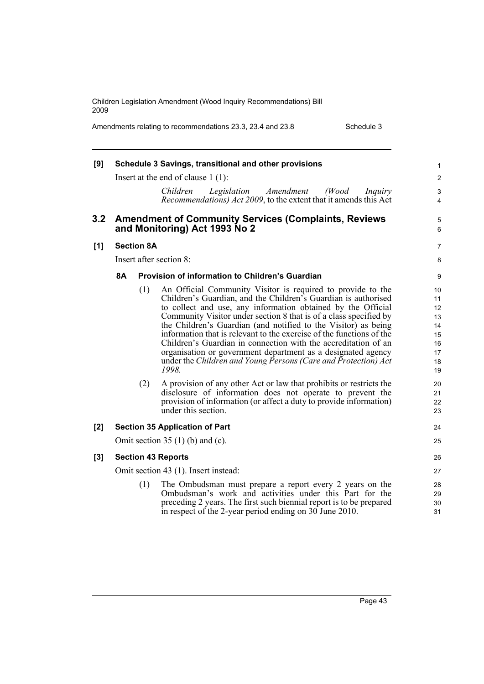Amendments relating to recommendations 23.3, 23.4 and 23.8 Schedule 3

| [9] |           |                   | Schedule 3 Savings, transitional and other provisions                                                                                                                                                                                                                                                                                                                                                                                                                                                                                                                                                                                                                                                                                                                                                                                                      | 1                                                                                |
|-----|-----------|-------------------|------------------------------------------------------------------------------------------------------------------------------------------------------------------------------------------------------------------------------------------------------------------------------------------------------------------------------------------------------------------------------------------------------------------------------------------------------------------------------------------------------------------------------------------------------------------------------------------------------------------------------------------------------------------------------------------------------------------------------------------------------------------------------------------------------------------------------------------------------------|----------------------------------------------------------------------------------|
|     |           |                   | Insert at the end of clause $1(1)$ :                                                                                                                                                                                                                                                                                                                                                                                                                                                                                                                                                                                                                                                                                                                                                                                                                       | $\overline{2}$                                                                   |
|     |           |                   | Legislation<br>Amendment<br>(Wood)<br>Children<br>Inquiry<br>Recommendations) Act 2009, to the extent that it amends this Act                                                                                                                                                                                                                                                                                                                                                                                                                                                                                                                                                                                                                                                                                                                              | 3<br>4                                                                           |
| 3.2 |           |                   | <b>Amendment of Community Services (Complaints, Reviews</b><br>and Monitoring) Act 1993 No 2                                                                                                                                                                                                                                                                                                                                                                                                                                                                                                                                                                                                                                                                                                                                                               | 5<br>6                                                                           |
| [1] |           | <b>Section 8A</b> |                                                                                                                                                                                                                                                                                                                                                                                                                                                                                                                                                                                                                                                                                                                                                                                                                                                            | 7                                                                                |
|     |           |                   | Insert after section 8:                                                                                                                                                                                                                                                                                                                                                                                                                                                                                                                                                                                                                                                                                                                                                                                                                                    | 8                                                                                |
|     | <b>8A</b> |                   | Provision of information to Children's Guardian                                                                                                                                                                                                                                                                                                                                                                                                                                                                                                                                                                                                                                                                                                                                                                                                            | 9                                                                                |
|     |           | (1)<br>(2)        | An Official Community Visitor is required to provide to the<br>Children's Guardian, and the Children's Guardian is authorised<br>to collect and use, any information obtained by the Official<br>Community Visitor under section 8 that is of a class specified by<br>the Children's Guardian (and notified to the Visitor) as being<br>information that is relevant to the exercise of the functions of the<br>Children's Guardian in connection with the accreditation of an<br>organisation or government department as a designated agency<br>under the Children and Young Persons (Care and Protection) Act<br>1998.<br>A provision of any other Act or law that prohibits or restricts the<br>disclosure of information does not operate to prevent the<br>provision of information (or affect a duty to provide information)<br>under this section. | 10<br>11<br>12<br>13<br>14<br>15<br>16<br>17<br>18<br>19<br>20<br>21<br>22<br>23 |
| [2] |           |                   | <b>Section 35 Application of Part</b>                                                                                                                                                                                                                                                                                                                                                                                                                                                                                                                                                                                                                                                                                                                                                                                                                      | 24                                                                               |
|     |           |                   | Omit section 35 $(1)$ (b) and (c).                                                                                                                                                                                                                                                                                                                                                                                                                                                                                                                                                                                                                                                                                                                                                                                                                         | 25                                                                               |
| [3] |           |                   | <b>Section 43 Reports</b>                                                                                                                                                                                                                                                                                                                                                                                                                                                                                                                                                                                                                                                                                                                                                                                                                                  | 26                                                                               |
|     |           |                   | Omit section 43 (1). Insert instead:                                                                                                                                                                                                                                                                                                                                                                                                                                                                                                                                                                                                                                                                                                                                                                                                                       | 27                                                                               |
|     |           | (1)               | The Ombudsman must prepare a report every 2 years on the<br>Ombudsman's work and activities under this Part for the<br>preceding 2 years. The first such biennial report is to be prepared<br>in respect of the 2-year period ending on 30 June 2010.                                                                                                                                                                                                                                                                                                                                                                                                                                                                                                                                                                                                      | 28<br>29<br>30<br>31                                                             |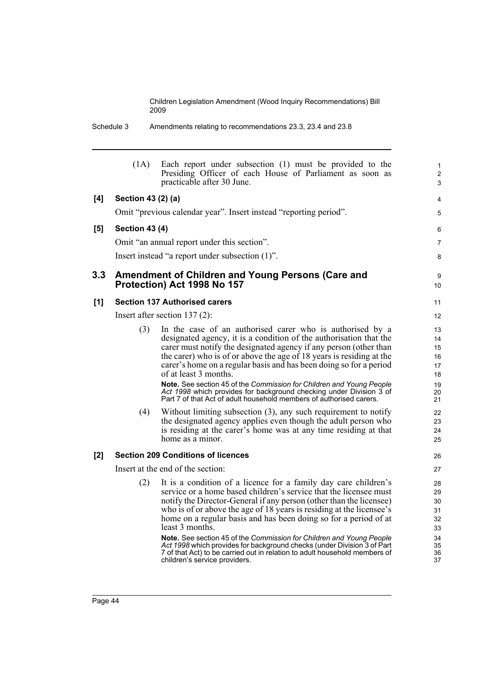Schedule 3 Amendments relating to recommendations 23.3, 23.4 and 23.8

| (1A) | Each report under subsection (1) must be provided to the<br>Presiding Officer of each House of Parliament as soon as<br>practicable after 30 June.                                                                                                                                                                                                                                                                                                                                                                                                                                                                                           | $\mathbf{1}$<br>$\overline{2}$<br>3                                                                                                                                                                                                                                                                                                                                                                                                                                 |
|------|----------------------------------------------------------------------------------------------------------------------------------------------------------------------------------------------------------------------------------------------------------------------------------------------------------------------------------------------------------------------------------------------------------------------------------------------------------------------------------------------------------------------------------------------------------------------------------------------------------------------------------------------|---------------------------------------------------------------------------------------------------------------------------------------------------------------------------------------------------------------------------------------------------------------------------------------------------------------------------------------------------------------------------------------------------------------------------------------------------------------------|
|      |                                                                                                                                                                                                                                                                                                                                                                                                                                                                                                                                                                                                                                              | 4                                                                                                                                                                                                                                                                                                                                                                                                                                                                   |
|      |                                                                                                                                                                                                                                                                                                                                                                                                                                                                                                                                                                                                                                              | 5                                                                                                                                                                                                                                                                                                                                                                                                                                                                   |
|      |                                                                                                                                                                                                                                                                                                                                                                                                                                                                                                                                                                                                                                              | 6                                                                                                                                                                                                                                                                                                                                                                                                                                                                   |
|      |                                                                                                                                                                                                                                                                                                                                                                                                                                                                                                                                                                                                                                              | $\overline{7}$                                                                                                                                                                                                                                                                                                                                                                                                                                                      |
|      |                                                                                                                                                                                                                                                                                                                                                                                                                                                                                                                                                                                                                                              | 8                                                                                                                                                                                                                                                                                                                                                                                                                                                                   |
|      |                                                                                                                                                                                                                                                                                                                                                                                                                                                                                                                                                                                                                                              | 9<br>10                                                                                                                                                                                                                                                                                                                                                                                                                                                             |
|      |                                                                                                                                                                                                                                                                                                                                                                                                                                                                                                                                                                                                                                              | 11                                                                                                                                                                                                                                                                                                                                                                                                                                                                  |
|      |                                                                                                                                                                                                                                                                                                                                                                                                                                                                                                                                                                                                                                              | 12                                                                                                                                                                                                                                                                                                                                                                                                                                                                  |
| (3)  | In the case of an authorised carer who is authorised by a<br>designated agency, it is a condition of the authorisation that the<br>carer must notify the designated agency if any person (other than<br>the carer) who is of or above the age of 18 years is residing at the<br>carer's home on a regular basis and has been doing so for a period<br>of at least 3 months.<br>Note. See section 45 of the Commission for Children and Young People<br>Act 1998 which provides for background checking under Division 3 of<br>Part 7 of that Act of adult household members of authorised carers.                                            | 13<br>14<br>15<br>16<br>17<br>18<br>19<br>20<br>21                                                                                                                                                                                                                                                                                                                                                                                                                  |
| (4)  | Without limiting subsection $(3)$ , any such requirement to notify<br>the designated agency applies even though the adult person who<br>is residing at the carer's home was at any time residing at that<br>home as a minor.                                                                                                                                                                                                                                                                                                                                                                                                                 | 22<br>23<br>24<br>25                                                                                                                                                                                                                                                                                                                                                                                                                                                |
|      |                                                                                                                                                                                                                                                                                                                                                                                                                                                                                                                                                                                                                                              | 26                                                                                                                                                                                                                                                                                                                                                                                                                                                                  |
|      |                                                                                                                                                                                                                                                                                                                                                                                                                                                                                                                                                                                                                                              | 27                                                                                                                                                                                                                                                                                                                                                                                                                                                                  |
| (2)  | It is a condition of a licence for a family day care children's<br>service or a home based children's service that the licensee must<br>notify the Director-General if any person (other than the licensee)<br>who is of or above the age of 18 years is residing at the licensee's<br>home on a regular basis and has been doing so for a period of at<br>least 3 months.<br>Note. See section 45 of the Commission for Children and Young People<br>Act 1998 which provides for background checks (under Division 3 of Part<br>7 of that Act) to be carried out in relation to adult household members of<br>children's service providers. | 28<br>29<br>30<br>31<br>32<br>33<br>34<br>35<br>36<br>37                                                                                                                                                                                                                                                                                                                                                                                                            |
|      |                                                                                                                                                                                                                                                                                                                                                                                                                                                                                                                                                                                                                                              | Section 43 (2) (a)<br>Omit "previous calendar year". Insert instead "reporting period".<br><b>Section 43 (4)</b><br>Omit "an annual report under this section".<br>Insert instead "a report under subsection (1)".<br>Amendment of Children and Young Persons (Care and<br>Protection) Act 1998 No 157<br><b>Section 137 Authorised carers</b><br>Insert after section $137(2)$ :<br><b>Section 209 Conditions of licences</b><br>Insert at the end of the section: |